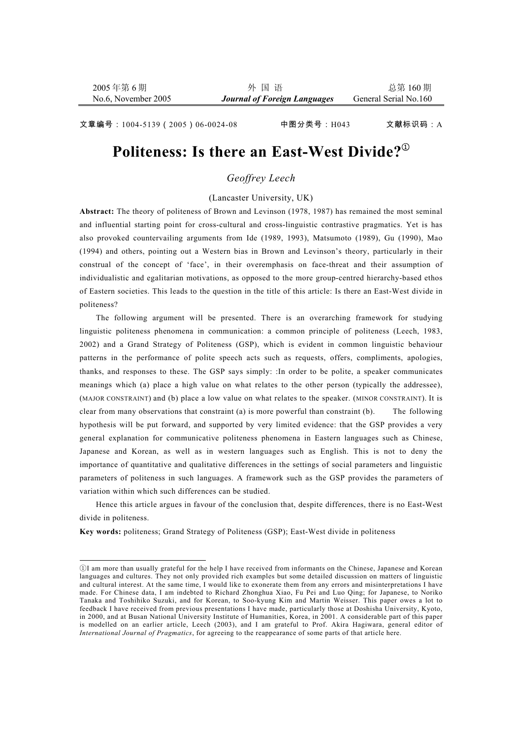| 2005年第6期            | 外国语                                 | 总第160期                |
|---------------------|-------------------------------------|-----------------------|
| No.6, November 2005 | <b>Journal of Foreign Languages</b> | General Serial No.160 |
|                     |                                     |                       |

文章编号:1004-5139(2005)06-0024-08 中图分类号:H043 文献标识码:A

# **Politeness: Is there an East-West Divide?**<sup>①</sup>

# *Geoffrey Leech*

#### (Lancaster University, UK)

**Abstract:** The theory of politeness of Brown and Levinson (1978, 1987) has remained the most seminal and influential starting point for cross-cultural and cross-linguistic contrastive pragmatics. Yet is has also provoked countervailing arguments from Ide (1989, 1993), Matsumoto (1989), Gu (1990), Mao (1994) and others, pointing out a Western bias in Brown and Levinson's theory, particularly in their construal of the concept of 'face', in their overemphasis on face-threat and their assumption of individualistic and egalitarian motivations, as opposed to the more group-centred hierarchy-based ethos of Eastern societies. This leads to the question in the title of this article: Is there an East-West divide in politeness?

The following argument will be presented. There is an overarching framework for studying linguistic politeness phenomena in communication: a common principle of politeness (Leech, 1983, 2002) and a Grand Strategy of Politeness (GSP), which is evident in common linguistic behaviour patterns in the performance of polite speech acts such as requests, offers, compliments, apologies, thanks, and responses to these. The GSP says simply: :In order to be polite, a speaker communicates meanings which (a) place a high value on what relates to the other person (typically the addressee), (MAJOR CONSTRAINT) and (b) place a low value on what relates to the speaker. (MINOR CONSTRAINT). It is clear from many observations that constraint (a) is more powerful than constraint (b). The following hypothesis will be put forward, and supported by very limited evidence: that the GSP provides a very general explanation for communicative politeness phenomena in Eastern languages such as Chinese, Japanese and Korean, as well as in western languages such as English. This is not to deny the importance of quantitative and qualitative differences in the settings of social parameters and linguistic parameters of politeness in such languages. A framework such as the GSP provides the parameters of variation within which such differences can be studied.

Hence this article argues in favour of the conclusion that, despite differences, there is no East-West divide in politeness.

**Key words:** politeness; Grand Strategy of Politeness (GSP); East-West divide in politeness

①I am more than usually grateful for the help I have received from informants on the Chinese, Japanese and Korean languages and cultures. They not only provided rich examples but some detailed discussion on matters of linguistic and cultural interest. At the same time, I would like to exonerate them from any errors and misinterpretations I have made. For Chinese data, I am indebted to Richard Zhonghua Xiao, Fu Pei and Luo Qing; for Japanese, to Noriko Tanaka and Toshihiko Suzuki, and for Korean, to Soo-kyung Kim and Martin Weisser. This paper owes a lot to feedback I have received from previous presentations I have made, particularly those at Doshisha University, Kyoto, in 2000, and at Busan National University Institute of Humanities, Korea, in 2001. A considerable part of this paper is modelled on an earlier article, Leech (2003), and I am grateful to Prof. Akira Hagiwara, general editor of *International Journal of Pragmatics*, for agreeing to the reappearance of some parts of that article here.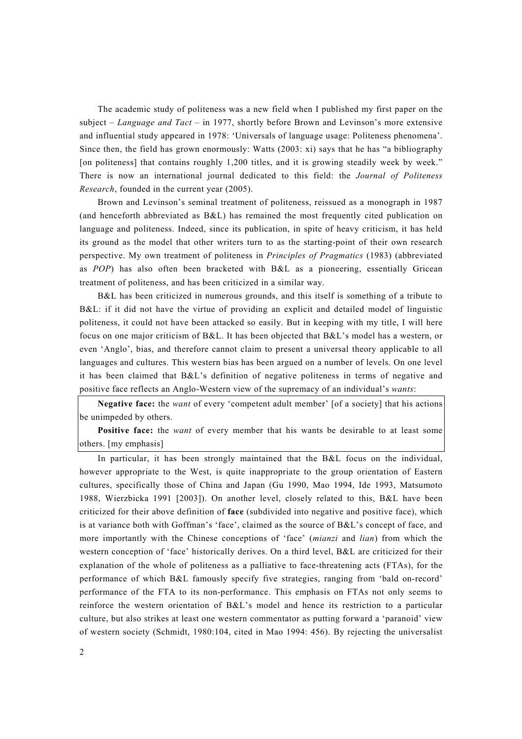The academic study of politeness was a new field when I published my first paper on the subject – *Language and Tact –* in 1977, shortly before Brown and Levinson's more extensive and influential study appeared in 1978: 'Universals of language usage: Politeness phenomena'. Since then, the field has grown enormously: Watts (2003: xi) says that he has "a bibliography [on politeness] that contains roughly 1,200 titles, and it is growing steadily week by week." There is now an international journal dedicated to this field: the *Journal of Politeness Research*, founded in the current year (2005).

Brown and Levinson's seminal treatment of politeness, reissued as a monograph in 1987 (and henceforth abbreviated as B&L) has remained the most frequently cited publication on language and politeness. Indeed, since its publication, in spite of heavy criticism, it has held its ground as the model that other writers turn to as the starting-point of their own research perspective. My own treatment of politeness in *Principles of Pragmatics* (1983) (abbreviated as *POP*) has also often been bracketed with B&L as a pioneering, essentially Gricean treatment of politeness, and has been criticized in a similar way.

B&L has been criticized in numerous grounds, and this itself is something of a tribute to B&L: if it did not have the virtue of providing an explicit and detailed model of linguistic politeness, it could not have been attacked so easily. But in keeping with my title, I will here focus on one major criticism of B&L. It has been objected that B&L's model has a western, or even 'Anglo', bias, and therefore cannot claim to present a universal theory applicable to all languages and cultures. This western bias has been argued on a number of levels. On one level it has been claimed that B&L's definition of negative politeness in terms of negative and positive face reflects an Anglo-Western view of the supremacy of an individual's *wants*:

**Negative face:** the *want* of every 'competent adult member' [of a society] that his actions be unimpeded by others.

**Positive face:** the *want* of every member that his wants be desirable to at least some others. [my emphasis]

In particular, it has been strongly maintained that the B&L focus on the individual, however appropriate to the West, is quite inappropriate to the group orientation of Eastern cultures, specifically those of China and Japan (Gu 1990, Mao 1994, Ide 1993, Matsumoto 1988, Wierzbicka 1991 [2003]). On another level, closely related to this, B&L have been criticized for their above definition of **face** (subdivided into negative and positive face), which is at variance both with Goffman's 'face', claimed as the source of B&L's concept of face, and more importantly with the Chinese conceptions of 'face' (*mianzi* and *lian*) from which the western conception of 'face' historically derives. On a third level, B&L are criticized for their explanation of the whole of politeness as a palliative to face-threatening acts (FTAs), for the performance of which B&L famously specify five strategies, ranging from 'bald on-record' performance of the FTA to its non-performance. This emphasis on FTAs not only seems to reinforce the western orientation of B&L's model and hence its restriction to a particular culture, but also strikes at least one western commentator as putting forward a 'paranoid' view of western society (Schmidt, 1980:104, cited in Mao 1994: 456). By rejecting the universalist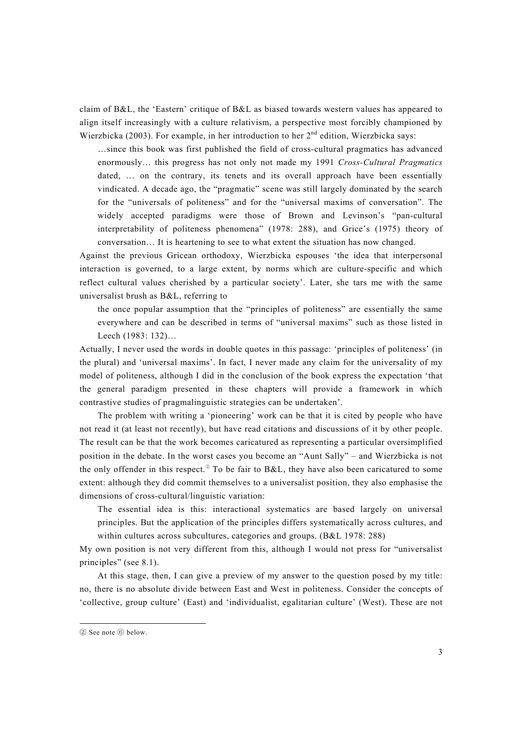claim of B&L, the 'Eastern' critique of B&L as biased towards western values has appeared to align itself increasingly with a culture relativism, a perspective most forcibly championed by Wierzbicka (2003). For example, in her introduction to her  $2<sup>nd</sup>$  edition, Wierzbicka says:

…since this book was first published the field of cross-cultural pragmatics has advanced enormously… this progress has not only not made my 1991 *Cross-Cultural Pragmatics*  dated, … on the contrary, its tenets and its overall approach have been essentially vindicated. A decade ago, the "pragmatic" scene was still largely dominated by the search for the "universals of politeness" and for the "universal maxims of conversation". The widely accepted paradigms were those of Brown and Levinson's "pan-cultural interpretability of politeness phenomena" (1978: 288), and Grice's (1975) theory of conversation… It is heartening to see to what extent the situation has now changed.

Against the previous Gricean orthodoxy, Wierzbicka espouses 'the idea that interpersonal interaction is governed, to a large extent, by norms which are culture-specific and which reflect cultural values cherished by a particular society'. Later, she tars me with the same universalist brush as B&L, referring to

the once popular assumption that the "principles of politeness" are essentially the same everywhere and can be described in terms of "universal maxims" such as those listed in Leech (1983: 132)…

Actually, I never used the words in double quotes in this passage: 'principles of politeness' (in the plural) and 'universal maxims'. In fact, I never made any claim for the universality of my model of politeness, although I did in the conclusion of the book express the expectation 'that the general paradigm presented in these chapters will provide a framework in which contrastive studies of pragmalinguistic strategies can be undertaken'.

The problem with writing a 'pioneering' work can be that it is cited by people who have not read it (at least not recently), but have read citations and discussions of it by other people. The result can be that the work becomes caricatured as representing a particular oversimplified position in the debate. In the worst cases you become an "Aunt Sally" – and Wierzbicka is not the only offender in this respect.<sup> $\circ$ </sup> To be fair to B&L, they have also been caricatured to some extent: although they did commit themselves to a universalist position, they also emphasise the dimensions of cross-cultural/linguistic variation:

The essential idea is this: interactional systematics are based largely on universal principles. But the application of the principles differs systematically across cultures, and within cultures across subcultures, categories and groups. (B&L 1978: 288)

My own position is not very different from this, although I would not press for "universalist principles" (see 8.1).

At this stage, then, I can give a preview of my answer to the question posed by my title: no, there is no absolute divide between East and West in politeness. Consider the concepts of 'collective, group culture' (East) and 'individualist, egalitarian culture' (West). These are not

1

② See note ⑥ below.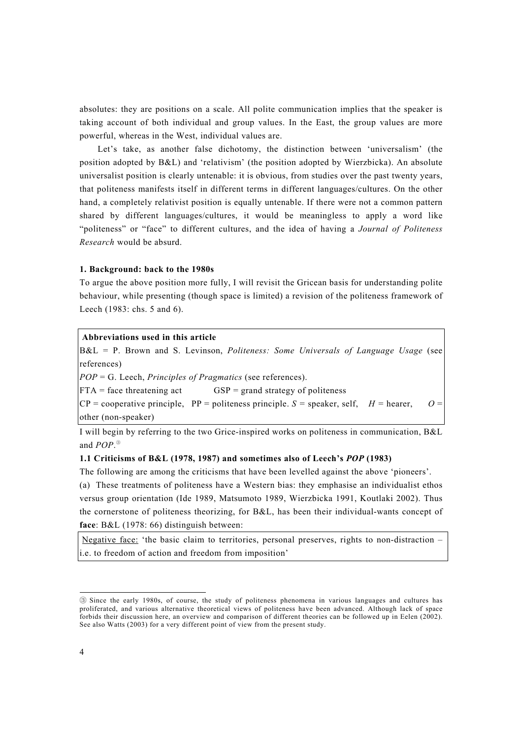absolutes: they are positions on a scale. All polite communication implies that the speaker is taking account of both individual and group values. In the East, the group values are more powerful, whereas in the West, individual values are.

Let's take, as another false dichotomy, the distinction between 'universalism' (the position adopted by B&L) and 'relativism' (the position adopted by Wierzbicka). An absolute universalist position is clearly untenable: it is obvious, from studies over the past twenty years, that politeness manifests itself in different terms in different languages/cultures. On the other hand, a completely relativist position is equally untenable. If there were not a common pattern shared by different languages/cultures, it would be meaningless to apply a word like "politeness" or "face" to different cultures, and the idea of having a *Journal of Politeness Research* would be absurd.

### **1. Background: back to the 1980s**

To argue the above position more fully, I will revisit the Gricean basis for understanding polite behaviour, while presenting (though space is limited) a revision of the politeness framework of Leech (1983: chs. 5 and 6).

#### **Abbreviations used in this article**

B&L = P. Brown and S. Levinson, *Politeness: Some Universals of Language Usage* (see references)

*POP* = G. Leech, *Principles of Pragmatics* (see references).

 $FTA = face$  threatening act  $GSP = grand$  strategy of politeness

CP = cooperative principle, PP = politeness principle. *S =* speaker, self, *H =* hearer, *O* = other (non-speaker)

I will begin by referring to the two Grice-inspired works on politeness in communication, B&L and *POP*. ③

## **1.1 Criticisms of B&L (1978, 1987) and sometimes also of Leech's** *POP* **(1983)**

The following are among the criticisms that have been levelled against the above 'pioneers'.

(a) These treatments of politeness have a Western bias: they emphasise an individualist ethos versus group orientation (Ide 1989, Matsumoto 1989, Wierzbicka 1991, Koutlaki 2002). Thus the cornerstone of politeness theorizing, for B&L, has been their individual-wants concept of **face**: B&L (1978: 66) distinguish between:

 Negative face: 'the basic claim to territories, personal preserves, rights to non-distraction – i.e. to freedom of action and freedom from imposition'

③ Since the early 1980s, of course, the study of politeness phenomena in various languages and cultures has proliferated, and various alternative theoretical views of politeness have been advanced. Although lack of space forbids their discussion here, an overview and comparison of different theories can be followed up in Eelen (2002). See also Watts (2003) for a very different point of view from the present study.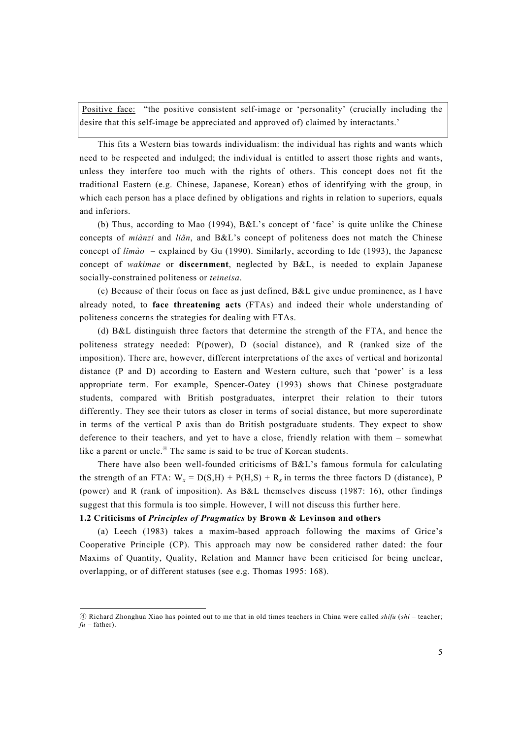Positive face: "the positive consistent self-image or 'personality' (crucially including the desire that this self-image be appreciated and approved of) claimed by interactants.'

This fits a Western bias towards individualism: the individual has rights and wants which need to be respected and indulged; the individual is entitled to assert those rights and wants, unless they interfere too much with the rights of others. This concept does not fit the traditional Eastern (e.g. Chinese, Japanese, Korean) ethos of identifying with the group, in which each person has a place defined by obligations and rights in relation to superiors, equals and inferiors.

(b) Thus, according to Mao (1994), B&L's concept of 'face' is quite unlike the Chinese concepts of *miànzi* and *liǎn*, and B&L's concept of politeness does not match the Chinese concept of *lǐmào* – explained by Gu (1990). Similarly, according to Ide (1993), the Japanese concept of *wakimae* or **discernment**, neglected by B&L, is needed to explain Japanese socially-constrained politeness or *teineisa*.

(c) Because of their focus on face as just defined, B&L give undue prominence, as I have already noted, to **face threatening acts** (FTAs) and indeed their whole understanding of politeness concerns the strategies for dealing with FTAs.

(d) B&L distinguish three factors that determine the strength of the FTA, and hence the politeness strategy needed: P(power), D (social distance), and R (ranked size of the imposition). There are, however, different interpretations of the axes of vertical and horizontal distance (P and D) according to Eastern and Western culture, such that 'power' is a less appropriate term. For example, Spencer-Oatey (1993) shows that Chinese postgraduate students, compared with British postgraduates, interpret their relation to their tutors differently. They see their tutors as closer in terms of social distance, but more superordinate in terms of the vertical P axis than do British postgraduate students. They expect to show deference to their teachers, and yet to have a close, friendly relation with them – somewhat like a parent or uncle.<sup>4</sup> The same is said to be true of Korean students.

There have also been well-founded criticisms of B&L's famous formula for calculating the strength of an FTA:  $W_x = D(S,H) + P(H,S) + R_x$  in terms the three factors D (distance), P (power) and R (rank of imposition). As B&L themselves discuss (1987: 16), other findings suggest that this formula is too simple. However, I will not discuss this further here.

# **1.2 Criticisms of** *Principles of Pragmatics* **by Brown & Levinson and others**

-

(a) Leech (1983) takes a maxim-based approach following the maxims of Grice's Cooperative Principle (CP). This approach may now be considered rather dated: the four Maxims of Quantity, Quality, Relation and Manner have been criticised for being unclear, overlapping, or of different statuses (see e.g. Thomas 1995: 168).

④ Richard Zhonghua Xiao has pointed out to me that in old times teachers in China were called *shifu* (*shi –* teacher;  $fu$  – father).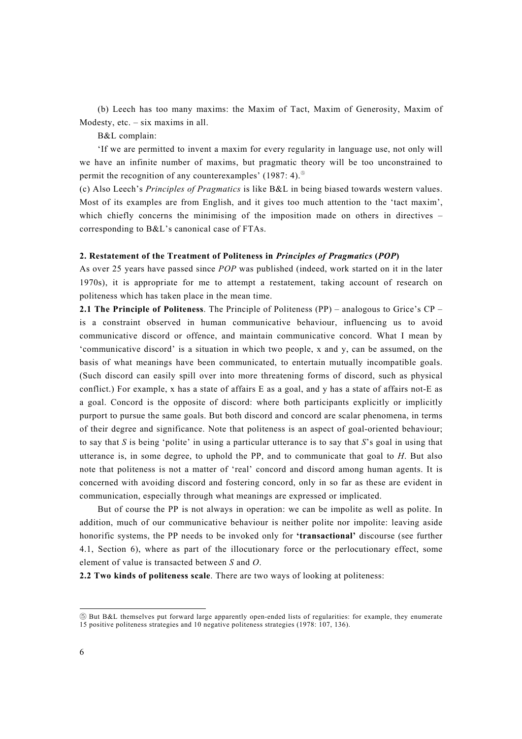(b) Leech has too many maxims: the Maxim of Tact, Maxim of Generosity, Maxim of Modesty, etc. – six maxims in all.

B&L complain:

'If we are permitted to invent a maxim for every regularity in language use, not only will we have an infinite number of maxims, but pragmatic theory will be too unconstrained to permit the recognition of any counterexamples' (1987: 4).<sup>⑤</sup>

(c) Also Leech's *Principles of Pragmatics* is like B&L in being biased towards western values. Most of its examples are from English, and it gives too much attention to the 'tact maxim', which chiefly concerns the minimising of the imposition made on others in directives – corresponding to B&L's canonical case of FTAs.

# **2. Restatement of the Treatment of Politeness in** *Principles of Pragmatics* **(***POP***)**

As over 25 years have passed since *POP* was published (indeed, work started on it in the later 1970s), it is appropriate for me to attempt a restatement, taking account of research on politeness which has taken place in the mean time.

**2.1 The Principle of Politeness**. The Principle of Politeness (PP) – analogous to Grice's CP – is a constraint observed in human communicative behaviour, influencing us to avoid communicative discord or offence, and maintain communicative concord. What I mean by 'communicative discord' is a situation in which two people, x and y, can be assumed, on the basis of what meanings have been communicated, to entertain mutually incompatible goals. (Such discord can easily spill over into more threatening forms of discord, such as physical conflict.) For example, x has a state of affairs E as a goal, and y has a state of affairs not-E as a goal. Concord is the opposite of discord: where both participants explicitly or implicitly purport to pursue the same goals. But both discord and concord are scalar phenomena, in terms of their degree and significance. Note that politeness is an aspect of goal-oriented behaviour; to say that *S* is being 'polite' in using a particular utterance is to say that *S*'s goal in using that utterance is, in some degree, to uphold the PP, and to communicate that goal to *H*. But also note that politeness is not a matter of 'real' concord and discord among human agents. It is concerned with avoiding discord and fostering concord, only in so far as these are evident in communication, especially through what meanings are expressed or implicated.

But of course the PP is not always in operation: we can be impolite as well as polite. In addition, much of our communicative behaviour is neither polite nor impolite: leaving aside honorific systems, the PP needs to be invoked only for **'transactional'** discourse (see further 4.1, Section 6), where as part of the illocutionary force or the perlocutionary effect, some element of value is transacted between *S* and *O*.

**2.2 Two kinds of politeness scale**. There are two ways of looking at politeness:

⑤ But B&L themselves put forward large apparently open-ended lists of regularities: for example, they enumerate 15 positive politeness strategies and 10 negative politeness strategies (1978: 107, 136).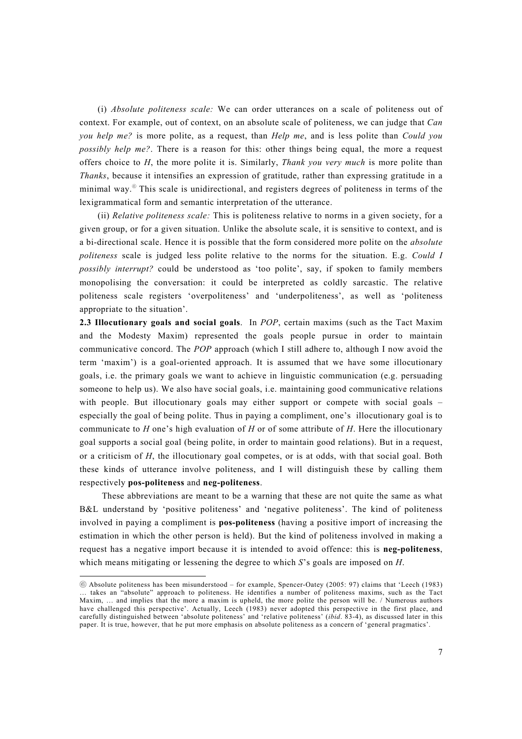(i) *Absolute politeness scale:* We can order utterances on a scale of politeness out of context. For example, out of context, on an absolute scale of politeness, we can judge that *Can you help me?* is more polite, as a request, than *Help me*, and is less polite than *Could you possibly help me?*. There is a reason for this: other things being equal, the more a request offers choice to *H*, the more polite it is. Similarly, *Thank you very much* is more polite than *Thanks*, because it intensifies an expression of gratitude, rather than expressing gratitude in a minimal way.<sup>®</sup> This scale is unidirectional, and registers degrees of politeness in terms of the lexigrammatical form and semantic interpretation of the utterance.

(ii) *Relative politeness scale:* This is politeness relative to norms in a given society, for a given group, or for a given situation. Unlike the absolute scale, it is sensitive to context, and is a bi-directional scale. Hence it is possible that the form considered more polite on the *absolute politeness* scale is judged less polite relative to the norms for the situation. E.g. *Could I possibly interrupt?* could be understood as 'too polite', say, if spoken to family members monopolising the conversation: it could be interpreted as coldly sarcastic. The relative politeness scale registers 'overpoliteness' and 'underpoliteness', as well as 'politeness appropriate to the situation'.

**2.3 Illocutionary goals and social goals**. In *POP*, certain maxims (such as the Tact Maxim and the Modesty Maxim) represented the goals people pursue in order to maintain communicative concord. The *POP* approach (which I still adhere to, although I now avoid the term 'maxim') is a goal-oriented approach. It is assumed that we have some illocutionary goals, i.e. the primary goals we want to achieve in linguistic communication (e.g. persuading someone to help us). We also have social goals, i.e. maintaining good communicative relations with people. But illocutionary goals may either support or compete with social goals especially the goal of being polite. Thus in paying a compliment, one's illocutionary goal is to communicate to *H* one's high evaluation of *H* or of some attribute of *H*. Here the illocutionary goal supports a social goal (being polite, in order to maintain good relations). But in a request, or a criticism of *H*, the illocutionary goal competes, or is at odds, with that social goal. Both these kinds of utterance involve politeness, and I will distinguish these by calling them respectively **pos-politeness** and **neg-politeness**.

These abbreviations are meant to be a warning that these are not quite the same as what B&L understand by 'positive politeness' and 'negative politeness'. The kind of politeness involved in paying a compliment is **pos-politeness** (having a positive import of increasing the estimation in which the other person is held). But the kind of politeness involved in making a request has a negative import because it is intended to avoid offence: this is **neg-politeness**, which means mitigating or lessening the degree to which *S*'s goals are imposed on *H*.

⑥ Absolute politeness has been misunderstood – for example, Spencer-Oatey (2005: 97) claims that 'Leech (1983) … takes an "absolute" approach to politeness. He identifies a number of politeness maxims, such as the Tact Maxim, … and implies that the more a maxim is upheld, the more polite the person will be. / Numerous authors have challenged this perspective'. Actually, Leech (1983) never adopted this perspective in the first place, and carefully distinguished between 'absolute politeness' and 'relative politeness' (*ibid*. 83-4), as discussed later in this paper. It is true, however, that he put more emphasis on absolute politeness as a concern of 'general pragmatics'.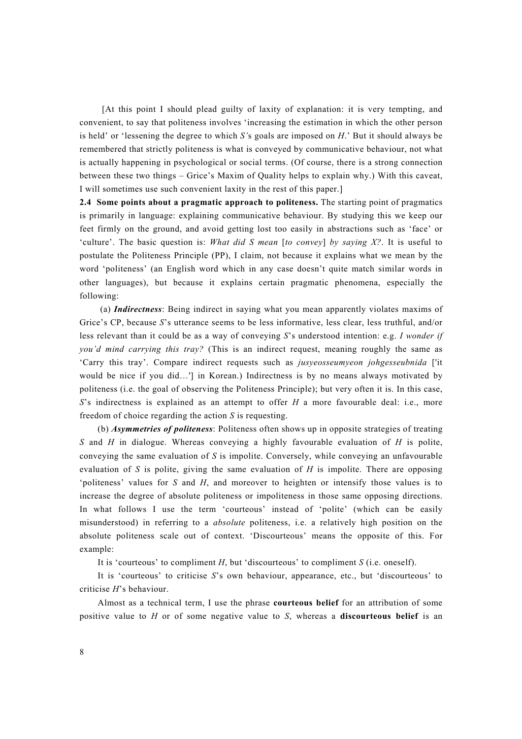[At this point I should plead guilty of laxity of explanation: it is very tempting, and convenient, to say that politeness involves 'increasing the estimation in which the other person is held' or 'lessening the degree to which *S'*s goals are imposed on *H*.' But it should always be remembered that strictly politeness is what is conveyed by communicative behaviour, not what is actually happening in psychological or social terms. (Of course, there is a strong connection between these two things – Grice's Maxim of Quality helps to explain why.) With this caveat, I will sometimes use such convenient laxity in the rest of this paper.]

**2.4 Some points about a pragmatic approach to politeness.** The starting point of pragmatics is primarily in language: explaining communicative behaviour. By studying this we keep our feet firmly on the ground, and avoid getting lost too easily in abstractions such as 'face' or 'culture'. The basic question is: *What did S mean* [*to convey*] *by saying X?*. It is useful to postulate the Politeness Principle (PP), I claim, not because it explains what we mean by the word 'politeness' (an English word which in any case doesn't quite match similar words in other languages), but because it explains certain pragmatic phenomena, especially the following:

 (a) *Indirectness*: Being indirect in saying what you mean apparently violates maxims of Grice's CP, because *S*'s utterance seems to be less informative, less clear, less truthful, and/or less relevant than it could be as a way of conveying *S*'s understood intention: e.g. *I wonder if you'd mind carrying this tray?* (This is an indirect request, meaning roughly the same as 'Carry this tray'. Compare indirect requests such as *jusyeosseumyeon johgesseubnida* ['it would be nice if you did...'] in Korean.) Indirectness is by no means always motivated by politeness (i.e. the goal of observing the Politeness Principle); but very often it is. In this case, *S*'s indirectness is explained as an attempt to offer *H* a more favourable deal: i.e., more freedom of choice regarding the action *S* is requesting.

(b) *Asymmetries of politeness*: Politeness often shows up in opposite strategies of treating *S* and *H* in dialogue. Whereas conveying a highly favourable evaluation of *H* is polite, conveying the same evaluation of *S* is impolite. Conversely, while conveying an unfavourable evaluation of *S* is polite, giving the same evaluation of *H* is impolite. There are opposing 'politeness' values for *S* and *H*, and moreover to heighten or intensify those values is to increase the degree of absolute politeness or impoliteness in those same opposing directions. In what follows I use the term 'courteous' instead of 'polite' (which can be easily misunderstood) in referring to a *absolute* politeness, i.e. a relatively high position on the absolute politeness scale out of context. 'Discourteous' means the opposite of this. For example:

It is 'courteous' to compliment *H*, but 'discourteous' to compliment *S* (i.e. oneself).

It is 'courteous' to criticise *S*'s own behaviour, appearance, etc., but 'discourteous' to criticise *H*'s behaviour.

Almost as a technical term, I use the phrase **courteous belief** for an attribution of some positive value to *H* or of some negative value to *S*, whereas a **discourteous belief** is an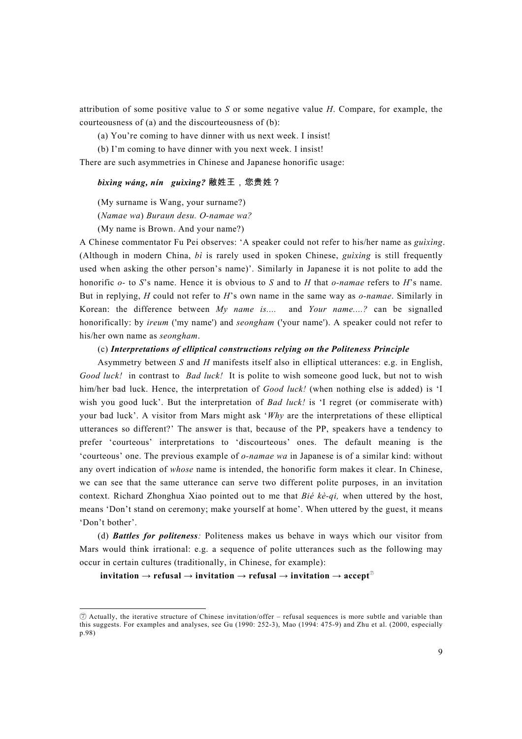attribution of some positive value to *S* or some negative value *H*. Compare, for example, the courteousness of (a) and the discourteousness of (b):

(a) You're coming to have dinner with us next week. I insist!

(b) I'm coming to have dinner with you next week. I insist!

There are such asymmetries in Chinese and Japanese honorific usage:

*bìxìng wáng, nín guìxìng?* 敝姓王,您贵姓?

(My surname is Wang, your surname?)

(*Namae wa*) *Buraun desu. O-namae wa?*

(My name is Brown. And your name?)

A Chinese commentator Fu Pei observes: 'A speaker could not refer to his/her name as *guìxìng*. (Although in modern China, *bì* is rarely used in spoken Chinese, *guìxìng* is still frequently used when asking the other person's name)'. Similarly in Japanese it is not polite to add the honorific *o-* to *S*'s name. Hence it is obvious to *S* and to *H* that *o-namae* refers to *H*'s name. But in replying, *H* could not refer to *H*'s own name in the same way as *o-namae*. Similarly in Korean: the difference between *My name is....* and *Your name....?* can be signalled honorifically: by *ireum* ('my name') and *seongham* ('your name'). A speaker could not refer to his/her own name as *seongham*.

#### (c) *Interpretations of elliptical constructions relying on the Politeness Principle*

Asymmetry between *S* and *H* manifests itself also in elliptical utterances: e.g. in English, *Good luck!* in contrast to *Bad luck!* It is polite to wish someone good luck, but not to wish him/her bad luck. Hence, the interpretation of *Good luck!* (when nothing else is added) is 'I wish you good luck'. But the interpretation of *Bad luck!* is 'I regret (or commiserate with) your bad luck'. A visitor from Mars might ask '*Why* are the interpretations of these elliptical utterances so different?' The answer is that, because of the PP, speakers have a tendency to prefer 'courteous' interpretations to 'discourteous' ones. The default meaning is the 'courteous' one. The previous example of *o-namae wa* in Japanese is of a similar kind: without any overt indication of *whose* name is intended, the honorific form makes it clear. In Chinese, we can see that the same utterance can serve two different polite purposes, in an invitation context. Richard Zhonghua Xiao pointed out to me that *Bié kè-qi,* when uttered by the host, means 'Don't stand on ceremony; make yourself at home'. When uttered by the guest, it means 'Don't bother'.

(d) *Battles for politeness:* Politeness makes us behave in ways which our visitor from Mars would think irrational: e.g. a sequence of polite utterances such as the following may occur in certain cultures (traditionally, in Chinese, for example):

# **invitation** → **refusal** → **invitation** → **refusal** → **invitation** → **accept**<sup> $\circ$ </sup>

⑦ Actually, the iterative structure of Chinese invitation/offer – refusal sequences is more subtle and variable than this suggests. For examples and analyses, see Gu (1990: 252-3), Mao (1994: 475-9) and Zhu et al. (2000, especially p.98)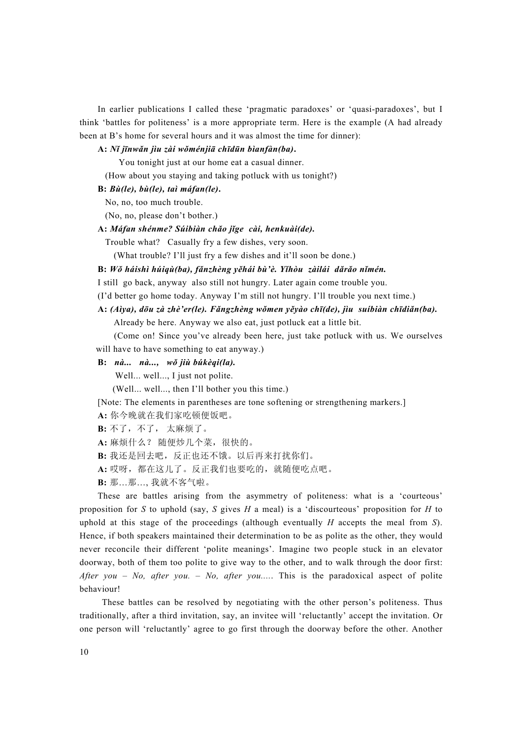In earlier publications I called these 'pragmatic paradoxes' or 'quasi-paradoxes', but I think 'battles for politeness' is a more appropriate term. Here is the example (A had already been at B's home for several hours and it was almost the time for dinner):

# **A:** *Nǐ jīnwǎn jìu zài wǒménjiā chīdūn bìanfàn(ba)***.**

You tonight just at our home eat a casual dinner.

(How about you staying and taking potluck with us tonight?)

# **B:** *Bù(le), bù(le), taì máfan(le)***.**

No, no, too much trouble.

(No, no, please don't bother.)

# **A:** *Máfan shénme? Súibiàn chǎo jǐge cài, henkuài(de).*

Trouble what? Casually fry a few dishes, very soon.

(What trouble? I'll just fry a few dishes and it'll soon be done.)

#### **B:** *Wǒ háishì húiqù(ba), fǎnzhèng yěhái bù'è. Yǐhòu zàilái dǎrǎo nǐmén.*

I still go back, anyway also still not hungry. Later again come trouble you.

(I'd better go home today. Anyway I'm still not hungry. I'll trouble you next time.)

# **A:** *(Aìya), dōu zà zhè'er(le). Fǎngzhèng wǒmen yěyào chī(de), jìu suíbiàn chīdiǎn(ba).*

Already be here. Anyway we also eat, just potluck eat a little bit.

(Come on! Since you've already been here, just take potluck with us. We ourselves will have to have something to eat anyway.)

**B:** *nà... nà..., wǒ jiù búkèqi(la).* 

Well... well..., I just not polite.

(Well... well..., then I'll bother you this time.)

[Note: The elements in parentheses are tone softening or strengthening markers.]

#### **A:** 你今晚就在我们家吃顿便饭吧。

**B:** 不了,不了, 太麻烦了。

**A:** 麻烦什么? 随便炒几个菜,很快的。

**B:** 我还是回去吧,反正也还不饿。以后再来打扰你们。

**A:** 哎呀,都在这儿了。反正我们也要吃的,就随便吃点吧。

**B:** 那…那…, 我就不客气啦。

These are battles arising from the asymmetry of politeness: what is a 'courteous' proposition for *S* to uphold (say, *S* gives *H* a meal) is a 'discourteous' proposition for *H* to uphold at this stage of the proceedings (although eventually *H* accepts the meal from *S*). Hence, if both speakers maintained their determination to be as polite as the other, they would never reconcile their different 'polite meanings'. Imagine two people stuck in an elevator doorway, both of them too polite to give way to the other, and to walk through the door first: *After you – No, after you. – No, after you.....* This is the paradoxical aspect of polite behaviour!

 These battles can be resolved by negotiating with the other person's politeness. Thus traditionally, after a third invitation, say, an invitee will 'reluctantly' accept the invitation. Or one person will 'reluctantly' agree to go first through the doorway before the other. Another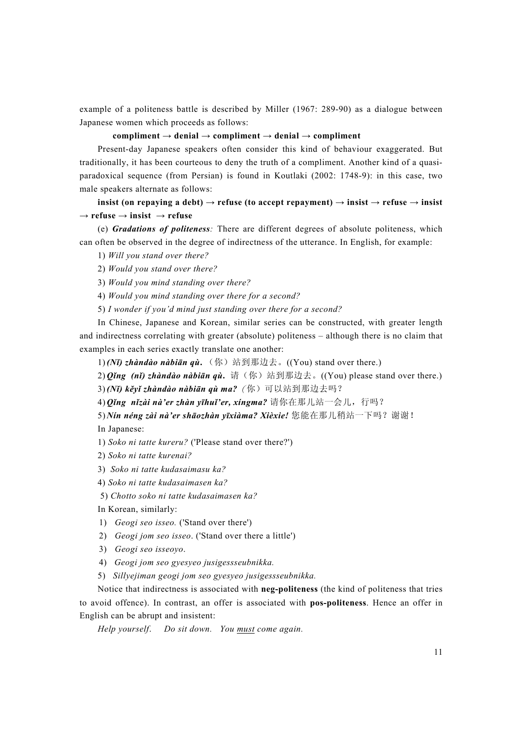example of a politeness battle is described by Miller (1967: 289-90) as a dialogue between Japanese women which proceeds as follows:

#### **compliment → denial → compliment → denial → compliment**

Present-day Japanese speakers often consider this kind of behaviour exaggerated. But traditionally, it has been courteous to deny the truth of a compliment. Another kind of a quasiparadoxical sequence (from Persian) is found in Koutlaki (2002: 1748-9): in this case, two male speakers alternate as follows:

# **insist (on repaying a debt) → refuse (to accept repayment) → insist → refuse → insist**   $\rightarrow$  **refuse**  $\rightarrow$  **insist**  $\rightarrow$  **refuse**

(e) *Gradations of politeness:* There are different degrees of absolute politeness, which can often be observed in the degree of indirectness of the utterance. In English, for example:

1) *Will you stand over there?* 

2) *Would you stand over there?* 

3) *Would you mind standing over there?* 

4) *Would you mind standing over there for a second?* 

5) *I wonder if you'd mind just standing over there for a second?* 

In Chinese, Japanese and Korean, similar series can be constructed, with greater length and indirectness correlating with greater (absolute) politeness – although there is no claim that examples in each series exactly translate one another:

1) *(Nǐ) zhàndào nàbiān qù***.** (你)站到那边去。((You) stand over there.)

2) *Qǐng (nǐ) zhàndào nàbiān qù***.**请(你)站到那边去。((You) please stand over there.)

3) *(Nǐ) kěyǐ zhàndào nàbiān qù ma?*(你)可以站到那边去吗?

4) *Qǐng nǐzài nà'er zhàn yīhuǐ'er, xíngma?* 请你在那儿站一会儿,行吗?

5) *Nín néng zài nà'er shāozhàn yīxiàma? Xièxie!* 您能在那儿稍站一下吗?谢谢!

In Japanese:

1) *Soko ni tatte kureru?* ('Please stand over there?')

- 2) *Soko ni tatte kurenai?*
- 3) *Soko ni tatte kudasaimasu ka?*
- 4) *Soko ni tatte kudasaimasen ka?*
- 5) *Chotto soko ni tatte kudasaimasen ka?*

In Korean, similarly:

- 1) *Geogi seo isseo.* ('Stand over there')
- 2) *Geogi jom seo isseo*. ('Stand over there a little')
- 3) *Geogi seo isseoyo*.
- 4) *Geogi jom seo gyesyeo jusigessseubnikka.*
- 5) *Sillyejiman geogi jom seo gyesyeo jusigessseubnikka.*

Notice that indirectness is associated with **neg-politeness** (the kind of politeness that tries to avoid offence). In contrast, an offer is associated with **pos-politeness**. Hence an offer in English can be abrupt and insistent:

*Help yourself*. *Do sit down. You must come again.*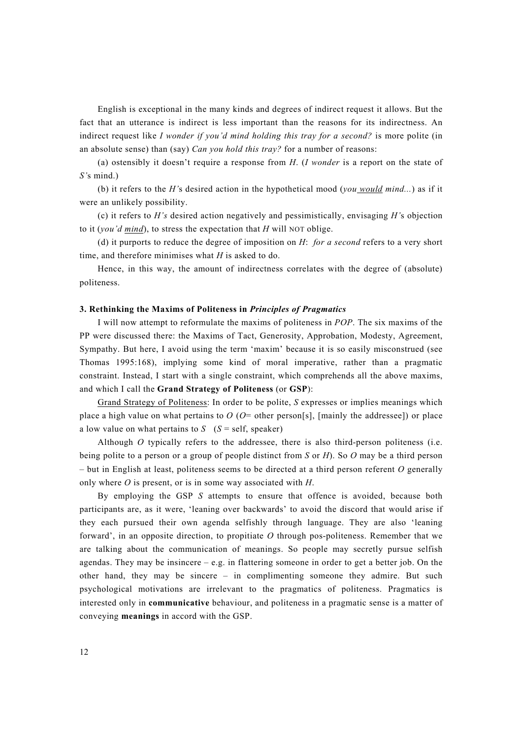English is exceptional in the many kinds and degrees of indirect request it allows. But the fact that an utterance is indirect is less important than the reasons for its indirectness. An indirect request like *I wonder if you'd mind holding this tray for a second?* is more polite (in an absolute sense) than (say) *Can you hold this tray?* for a number of reasons:

(a) ostensibly it doesn't require a response from *H*. (*I wonder* is a report on the state of *S'*s mind.)

(b) it refers to the *H'*s desired action in the hypothetical mood (*you would mind...*) as if it were an unlikely possibility.

(c) it refers to *H's* desired action negatively and pessimistically, envisaging *H'*s objection to it (*you'd mind*), to stress the expectation that *H* will NOT oblige.

(d) it purports to reduce the degree of imposition on *H*: *for a second* refers to a very short time, and therefore minimises what *H* is asked to do.

Hence, in this way, the amount of indirectness correlates with the degree of (absolute) politeness.

#### **3. Rethinking the Maxims of Politeness in** *Principles of Pragmatics*

I will now attempt to reformulate the maxims of politeness in *POP*. The six maxims of the PP were discussed there: the Maxims of Tact, Generosity, Approbation, Modesty, Agreement, Sympathy. But here, I avoid using the term 'maxim' because it is so easily misconstrued (see Thomas 1995:168), implying some kind of moral imperative, rather than a pragmatic constraint. Instead, I start with a single constraint, which comprehends all the above maxims, and which I call the **Grand Strategy of Politeness** (or **GSP**):

Grand Strategy of Politeness: In order to be polite, *S* expresses or implies meanings which place a high value on what pertains to  $O$  ( $O=$  other person[s], [mainly the addressee]) or place a low value on what pertains to  $S$  ( $S =$  self, speaker)

Although *O* typically refers to the addressee, there is also third-person politeness (i.e. being polite to a person or a group of people distinct from *S* or *H*). So *O* may be a third person – but in English at least, politeness seems to be directed at a third person referent *O* generally only where *O* is present, or is in some way associated with *H*.

By employing the GSP *S* attempts to ensure that offence is avoided, because both participants are, as it were, 'leaning over backwards' to avoid the discord that would arise if they each pursued their own agenda selfishly through language. They are also 'leaning forward', in an opposite direction, to propitiate *O* through pos-politeness. Remember that we are talking about the communication of meanings. So people may secretly pursue selfish agendas. They may be insincere  $-\mathrm{e.g.}$  in flattering someone in order to get a better job. On the other hand, they may be sincere – in complimenting someone they admire. But such psychological motivations are irrelevant to the pragmatics of politeness. Pragmatics is interested only in **communicative** behaviour, and politeness in a pragmatic sense is a matter of conveying **meanings** in accord with the GSP.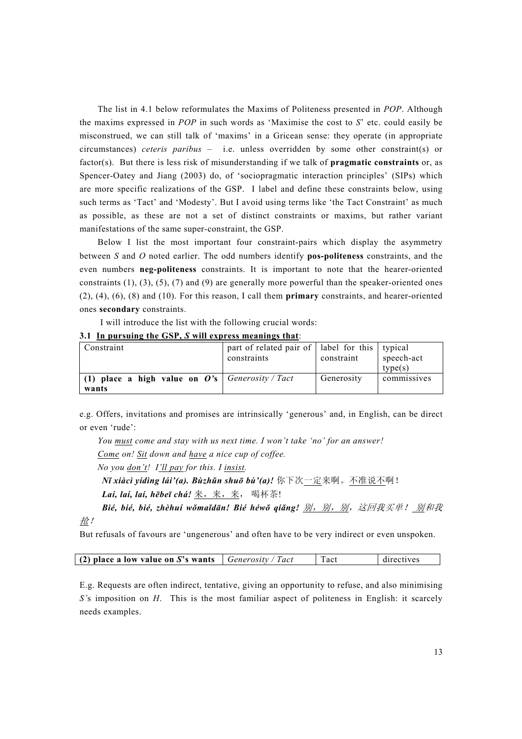The list in 4.1 below reformulates the Maxims of Politeness presented in *POP*. Although the maxims expressed in *POP* in such words as 'Maximise the cost to *S*' etc. could easily be misconstrued, we can still talk of 'maxims' in a Gricean sense: they operate (in appropriate circumstances) *ceteris paribus* – i.e. unless overridden by some other constraint(s) or factor(s). But there is less risk of misunderstanding if we talk of **pragmatic constraints** or, as Spencer-Oatey and Jiang (2003) do, of 'sociopragmatic interaction principles' (SIPs) which are more specific realizations of the GSP. I label and define these constraints below, using such terms as 'Tact' and 'Modesty'. But I avoid using terms like 'the Tact Constraint' as much as possible, as these are not a set of distinct constraints or maxims, but rather variant manifestations of the same super-constraint, the GSP.

Below I list the most important four constraint-pairs which display the asymmetry between *S* and *O* noted earlier. The odd numbers identify **pos-politeness** constraints, and the even numbers **neg-politeness** constraints. It is important to note that the hearer-oriented constraints  $(1)$ ,  $(3)$ ,  $(5)$ ,  $(7)$  and  $(9)$  are generally more powerful than the speaker-oriented ones (2), (4), (6), (8) and (10). For this reason, I call them **primary** constraints, and hearer-oriented ones **secondary** constraints.

I will introduce the list with the following crucial words:

| Constraint                                               | part of related pair of   label for this   typical<br>constraints | constraint | speech-act<br>type(s) |
|----------------------------------------------------------|-------------------------------------------------------------------|------------|-----------------------|
| (1) place a high value on $O's$ Generosity Tact<br>wants |                                                                   | Generosity | commissives           |

#### **3.1 In pursuing the GSP,** *S* **will express meanings that**:

e.g. Offers, invitations and promises are intrinsically 'generous' and, in English, can be direct or even 'rude':

*You must come and stay with us next time. I won't take 'no' for an answer!* 

*Come on! Sit down and have a nice cup of coffee.* 

*No you don't! I'll pay for this. I insist.* 

*Nǐ xiàcì yídìng lái'(a). Bùzhǔn shuō bù'(a)!* 你下次一定来啊。不准说不啊! *Laí, laí, laí, hēbeī chá!* 来,来,来, 喝杯茶!

*Bié, bié, bié, zhèhuí wǒmaǐdān! Bié héwǒ qiǎng!* 别,别,别,这回我买单! 别和我 抢!

But refusals of favours are 'ungenerous' and often have to be very indirect or even unspoken.

| $(2)$ place a low value on S's wants | Generosity / Tact | l act | directives |
|--------------------------------------|-------------------|-------|------------|
|                                      |                   |       |            |

E.g. Requests are often indirect, tentative, giving an opportunity to refuse, and also minimising *S'*s imposition on *H*. This is the most familiar aspect of politeness in English: it scarcely needs examples.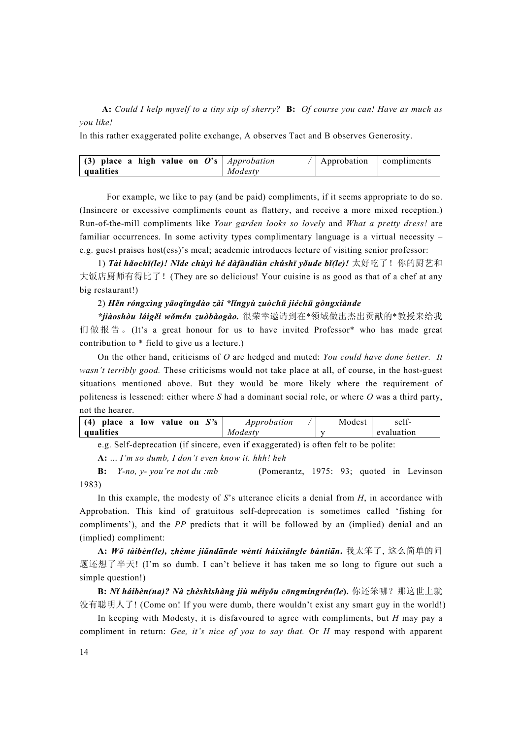**A:** *Could I help myself to a tiny sip of sherry?* **B:** *Of course you can! Have as much as you like!* 

In this rather exaggerated polite exchange, A observes Tact and B observes Generosity.

| (3) place a high value on $O^s$ <i>Approbation</i> |         | $\angle$ Approbation compliments |  |
|----------------------------------------------------|---------|----------------------------------|--|
| qualities                                          | Modesty |                                  |  |

For example, we like to pay (and be paid) compliments, if it seems appropriate to do so. (Insincere or excessive compliments count as flattery, and receive a more mixed reception.) Run-of-the-mill compliments like *Your garden looks so lovely* and *What a pretty dress!* are familiar occurrences. In some activity types complimentary language is a virtual necessity – e.g. guest praises host(ess)'s meal; academic introduces lecture of visiting senior professor:

1) *Tài hǎochī(le)! Nǐde chùyì hé dàfàndiàn chúshī yǒude bǐ(le)!* 太好吃了!你的厨艺和 大饭店厨师有得比了!(They are so delicious! Your cuisine is as good as that of a chef at any big restaurant!)

## 2) *Hěn róngxìng yāoqǐngdào zài \*lǐngyù zuòchū jiéchū gòngxiànde*

*\*jiàoshòu láigěi wǒmén zuòbàogào.* 很荣幸邀请到在\*领域做出杰出贡献的\*教授来给我 们做报告。 (It's a great honour for us to have invited Professor\* who has made great contribution to \* field to give us a lecture.)

On the other hand, criticisms of *O* are hedged and muted: *You could have done better. It wasn't terribly good.* These criticisms would not take place at all, of course, in the host-guest situations mentioned above. But they would be more likely where the requirement of politeness is lessened: either where *S* had a dominant social role, or where *O* was a third party, not the hearer.

| (4)<br>place a low value on |  | S's | Approbation |  | Modest | self-      |
|-----------------------------|--|-----|-------------|--|--------|------------|
| qualities                   |  |     | Modestv     |  |        | evaluation |
|                             |  |     |             |  |        |            |

e.g. Self-deprecation (if sincere, even if exaggerated) is often felt to be polite:

**A:** ... *I'm so dumb, I don't even know it. hhh! heh* 

**B:** *Y-no, y- you're not du :mb* (Pomerantz, 1975: 93; quoted in Levinson 1983)

In this example, the modesty of *S*'s utterance elicits a denial from *H*, in accordance with Approbation. This kind of gratuitous self-deprecation is sometimes called 'fishing for compliments'), and the *PP* predicts that it will be followed by an (implied) denial and an (implied) compliment:

**A:** *Wǒ tàibèn(le), zhème jiǎndānde wèntí háixiǎngle bàntiān***.** 我太笨了, 这么简单的问 题还想了半天! (I'm so dumb. I can't believe it has taken me so long to figure out such a simple question!)

**B:** *Nǐ háibèn(na)? Nà zhèshìshàng jiù méiyǒu cōngmíngrén(le***).** 你还笨哪?那这世上就 没有聪明人了! (Come on! If you were dumb, there wouldn't exist any smart guy in the world!)

In keeping with Modesty, it is disfavoured to agree with compliments, but *H* may pay a compliment in return: *Gee, it's nice of you to say that.* Or *H* may respond with apparent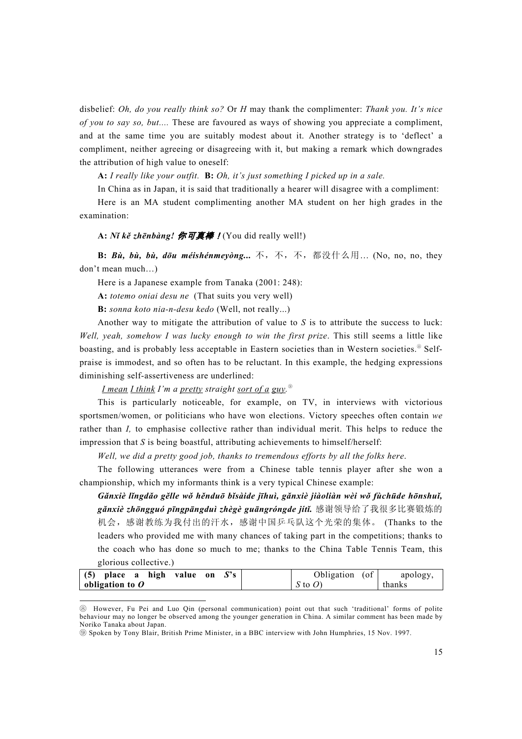disbelief: *Oh, do you really think so?* Or *H* may thank the complimenter: *Thank you. It's nice of you to say so, but....* These are favoured as ways of showing you appreciate a compliment, and at the same time you are suitably modest about it. Another strategy is to 'deflect' a compliment, neither agreeing or disagreeing with it, but making a remark which downgrades the attribution of high value to oneself:

**A:** *I really like your outfit.* **B:** *Oh, it's just something I picked up in a sale.* 

In China as in Japan, it is said that traditionally a hearer will disagree with a compliment:

Here is an MA student complimenting another MA student on her high grades in the examination:

#### **A:** *Nǐ kě zhēnbàng!* 你可真棒!(You did really well!)

**B:** *Bù, bù, bù, dōu méishénmeyòng...* 不,不,不,都没什么用… (No, no, no, they don't mean much…)

Here is a Japanese example from Tanaka (2001: 248):

**A:** *totemo oniai desu ne* (That suits you very well)

**B:** *sonna koto nia-n-desu kedo* (Well, not really...)

Another way to mitigate the attribution of value to *S* is to attribute the success to luck: *Well, yeah, somehow I was lucky enough to win the first prize*. This still seems a little like boasting, and is probably less acceptable in Eastern societies than in Western societies.⑧ Selfpraise is immodest, and so often has to be reluctant. In this example, the hedging expressions diminishing self-assertiveness are underlined:

*I mean I think I'm a pretty straight sort of a guy.* ⑨

-

This is particularly noticeable, for example, on TV, in interviews with victorious sportsmen/women, or politicians who have won elections. Victory speeches often contain *we* rather than *I*, to emphasise collective rather than individual merit. This helps to reduce the impression that *S* is being boastful, attributing achievements to himself/herself:

*Well, we did a pretty good job, thanks to tremendous efforts by all the folks here*.

The following utterances were from a Chinese table tennis player after she won a championship, which my informants think is a very typical Chinese example:

Gănxiè lingdăo gělle wŏ hěnduō bǐsàide jīhuì, gǎnxiè jiàoliàn wèi wŏ fùchūde hōnshuǐ, *gǎnxiè zhōngguó pīngpāngduì zhègè guāngróngde jítǐ.* 感谢领导给了我很多比赛锻炼的 机会,感谢教练为我付出的汗水,感谢中国乒乓队这个光荣的集体。 (Thanks to the leaders who provided me with many chances of taking part in the competitions; thanks to the coach who has done so much to me; thanks to the China Table Tennis Team, this glorious collective.)

| place a high value on<br>(5)   | $($ of<br>Obligation | apology. |
|--------------------------------|----------------------|----------|
| obligation to $\boldsymbol{0}$ | S to $O$             | thanks   |

⑧ However, Fu Pei and Luo Qin (personal communication) point out that such 'traditional' forms of polite behaviour may no longer be observed among the younger generation in China. A similar comment has been made by Noriko Tanaka about Japan.

⑨ Spoken by Tony Blair, British Prime Minister, in a BBC interview with John Humphries, 15 Nov. 1997.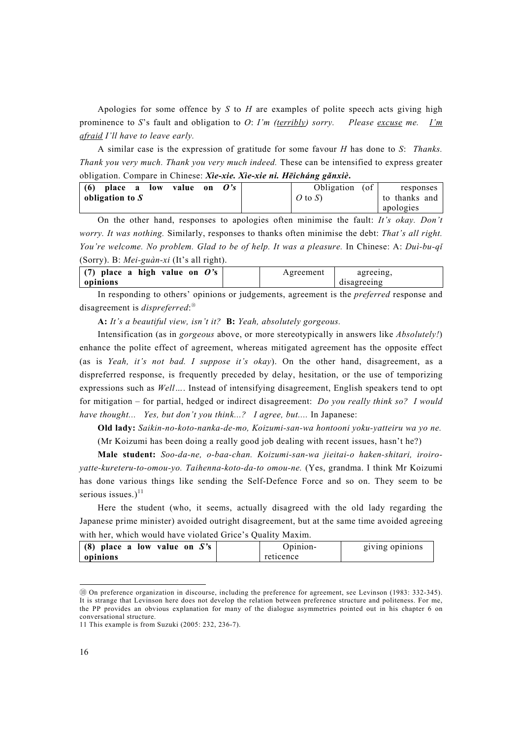Apologies for some offence by *S* to *H* are examples of polite speech acts giving high prominence to *S*'s fault and obligation to *O*: *I'm (terribly) sorry. Please excuse me. I'm afraid I'll have to leave early.* 

A similar case is the expression of gratitude for some favour *H* has done to *S*: *Thanks. Thank you very much. Thank you very much indeed.* These can be intensified to express greater obligation. Compare in Chinese: *Xìe-xie. Xìe-xie ni. Hēicháng gǎnxiè***.** 

| (6)<br>place a low | value<br>- on | Obligation | $\int$ of | responses     |
|--------------------|---------------|------------|-----------|---------------|
| obligation to $S$  |               | O to $S$   |           | to thanks and |
|                    |               |            |           | apologies     |

On the other hand, responses to apologies often minimise the fault: *It's okay. Don't worry. It was nothing.* Similarly, responses to thanks often minimise the debt: *That's all right. You're welcome. No problem. Glad to be of help. It was a pleasure.* In Chinese: A: *Duì-bu-qǐ* (Sorry). B: *Mei-guàn-xi* (It's all right).

| $(7)$ place a high value on $O's$ | Agreement | agreeing,   |
|-----------------------------------|-----------|-------------|
| opinions                          |           | disagreeing |

In responding to others' opinions or judgements, agreement is the *preferred* response and disagreement is *dispreferred*: ⑩

**A:** *It's a beautiful view, isn't it?* **B:** *Yeah, absolutely gorgeous.* 

Intensification (as in *gorgeous* above, or more stereotypically in answers like *Absolutely!*) enhance the polite effect of agreement, whereas mitigated agreement has the opposite effect (as is *Yeah, it's not bad. I suppose it's okay*). On the other hand, disagreement, as a dispreferred response, is frequently preceded by delay, hesitation, or the use of temporizing expressions such as *Well…*. Instead of intensifying disagreement, English speakers tend to opt for mitigation – for partial, hedged or indirect disagreement: *Do you really think so? I would have thought... Yes, but don't you think...? I agree, but....* In Japanese:

**Old lady:** *Saikin-no-koto-nanka-de-mo, Koizumi-san-wa hontooni yoku-yatteiru wa yo ne.*  (Mr Koizumi has been doing a really good job dealing with recent issues, hasn't he?)

**Male student:** *Soo-da-ne, o-baa-chan. Koizumi-san-wa jieitai-o haken-shitari, iroiroyatte-kureteru-to-omou-yo. Taihenna-koto-da-to omou-ne.* (Yes, grandma. I think Mr Koizumi has done various things like sending the Self-Defence Force and so on. They seem to be serious issues.) $11$ 

Here the student (who, it seems, actually disagreed with the old lady regarding the Japanese prime minister) avoided outright disagreement, but at the same time avoided agreeing with her, which would have violated Grice's Quality Maxim.

| $(8)$ place a low value on $S$ 's<br>opinions | -Jpinion<br>reticence | giving opinions |
|-----------------------------------------------|-----------------------|-----------------|
|-----------------------------------------------|-----------------------|-----------------|

⑩ On preference organization in discourse, including the preference for agreement, see Levinson (1983: 332-345). It is strange that Levinson here does not develop the relation between preference structure and politeness. For me, the PP provides an obvious explanation for many of the dialogue asymmetries pointed out in his chapter 6 on conversational structure.

<sup>11</sup> This example is from Suzuki (2005: 232, 236-7).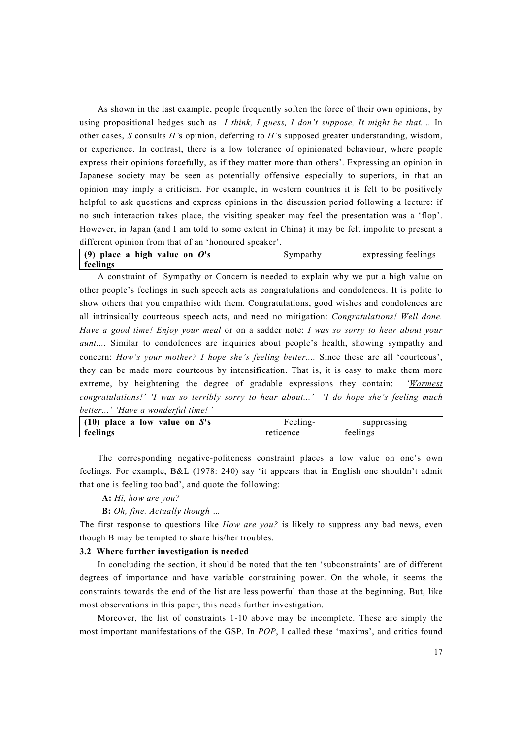As shown in the last example, people frequently soften the force of their own opinions, by using propositional hedges such as *I think, I guess, I don't suppose, It might be that....* In other cases, *S* consults *H'*s opinion, deferring to *H'*s supposed greater understanding, wisdom, or experience. In contrast, there is a low tolerance of opinionated behaviour, where people express their opinions forcefully, as if they matter more than others'. Expressing an opinion in Japanese society may be seen as potentially offensive especially to superiors, in that an opinion may imply a criticism. For example, in western countries it is felt to be positively helpful to ask questions and express opinions in the discussion period following a lecture: if no such interaction takes place, the visiting speaker may feel the presentation was a 'flop'. However, in Japan (and I am told to some extent in China) it may be felt impolite to present a different opinion from that of an 'honoured speaker'.

| $(9)$ place a high value on $O's$ | Sympathy | expressing feelings |
|-----------------------------------|----------|---------------------|
| feelings                          |          |                     |

A constraint of Sympathy or Concern is needed to explain why we put a high value on other people's feelings in such speech acts as congratulations and condolences. It is polite to show others that you empathise with them. Congratulations, good wishes and condolences are all intrinsically courteous speech acts, and need no mitigation: *Congratulations! Well done. Have a good time! Enjoy your meal* or on a sadder note: *I was so sorry to hear about your aunt....* Similar to condolences are inquiries about people's health, showing sympathy and concern: *How's your mother? I hope she's feeling better....* Since these are all 'courteous', they can be made more courteous by intensification. That is, it is easy to make them more extreme, by heightening the degree of gradable expressions they contain: *'Warmest congratulations!' 'I was so terribly sorry to hear about...' 'I do hope she's feeling much better...' 'Have a wonderful time! '*

| $(10)$ place a low value on $S$ 's<br>Feeling-<br>feelings<br>reticence | suppressing<br>teelings |
|-------------------------------------------------------------------------|-------------------------|
|-------------------------------------------------------------------------|-------------------------|

The corresponding negative-politeness constraint places a low value on one's own feelings. For example, B&L (1978: 240) say 'it appears that in English one shouldn't admit that one is feeling too bad', and quote the following:

 **A:** *Hi, how are you?* 

 **B:** *Oh, fine. Actually though …* 

The first response to questions like *How are you?* is likely to suppress any bad news, even though B may be tempted to share his/her troubles.

### **3.2 Where further investigation is needed**

In concluding the section, it should be noted that the ten 'subconstraints' are of different degrees of importance and have variable constraining power. On the whole, it seems the constraints towards the end of the list are less powerful than those at the beginning. But, like most observations in this paper, this needs further investigation.

Moreover, the list of constraints 1-10 above may be incomplete. These are simply the most important manifestations of the GSP. In *POP*, I called these 'maxims', and critics found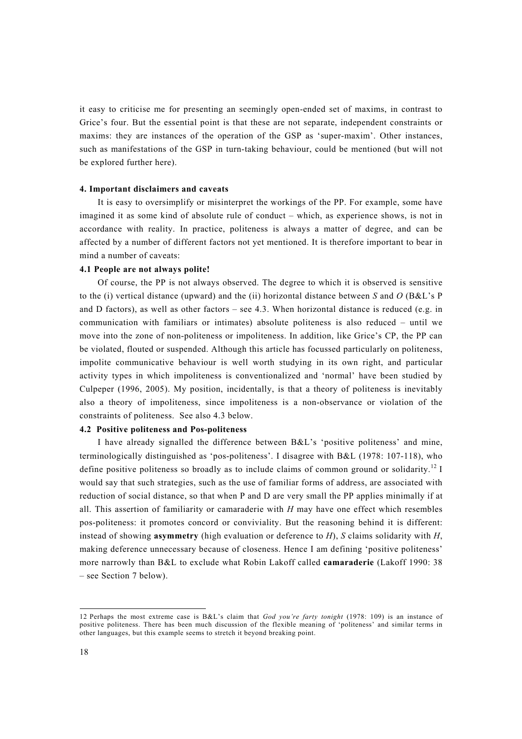it easy to criticise me for presenting an seemingly open-ended set of maxims, in contrast to Grice's four. But the essential point is that these are not separate, independent constraints or maxims: they are instances of the operation of the GSP as 'super-maxim'. Other instances, such as manifestations of the GSP in turn-taking behaviour, could be mentioned (but will not be explored further here).

#### **4. Important disclaimers and caveats**

It is easy to oversimplify or misinterpret the workings of the PP. For example, some have imagined it as some kind of absolute rule of conduct – which, as experience shows, is not in accordance with reality. In practice, politeness is always a matter of degree, and can be affected by a number of different factors not yet mentioned. It is therefore important to bear in mind a number of caveats:

#### **4.1 People are not always polite!**

Of course, the PP is not always observed. The degree to which it is observed is sensitive to the (i) vertical distance (upward) and the (ii) horizontal distance between *S* and *O* (B&L's P and D factors), as well as other factors – see 4.3. When horizontal distance is reduced (e.g. in communication with familiars or intimates) absolute politeness is also reduced – until we move into the zone of non-politeness or impoliteness. In addition, like Grice's CP, the PP can be violated, flouted or suspended. Although this article has focussed particularly on politeness, impolite communicative behaviour is well worth studying in its own right, and particular activity types in which impoliteness is conventionalized and 'normal' have been studied by Culpeper (1996, 2005). My position, incidentally, is that a theory of politeness is inevitably also a theory of impoliteness, since impoliteness is a non-observance or violation of the constraints of politeness. See also 4.3 below.

# **4.2 Positive politeness and Pos-politeness**

I have already signalled the difference between B&L's 'positive politeness' and mine, terminologically distinguished as 'pos-politeness'. I disagree with B&L (1978: 107-118), who define positive politeness so broadly as to include claims of common ground or solidarity.<sup>12</sup> I would say that such strategies, such as the use of familiar forms of address, are associated with reduction of social distance, so that when P and D are very small the PP applies minimally if at all. This assertion of familiarity or camaraderie with *H* may have one effect which resembles pos-politeness: it promotes concord or conviviality. But the reasoning behind it is different: instead of showing **asymmetry** (high evaluation or deference to *H*), *S* claims solidarity with *H*, making deference unnecessary because of closeness. Hence I am defining 'positive politeness' more narrowly than B&L to exclude what Robin Lakoff called **camaraderie** (Lakoff 1990: 38 – see Section 7 below).

<sup>12</sup> Perhaps the most extreme case is B&L's claim that *God you're farty tonight* (1978: 109) is an instance of positive politeness. There has been much discussion of the flexible meaning of 'politeness' and similar terms in other languages, but this example seems to stretch it beyond breaking point.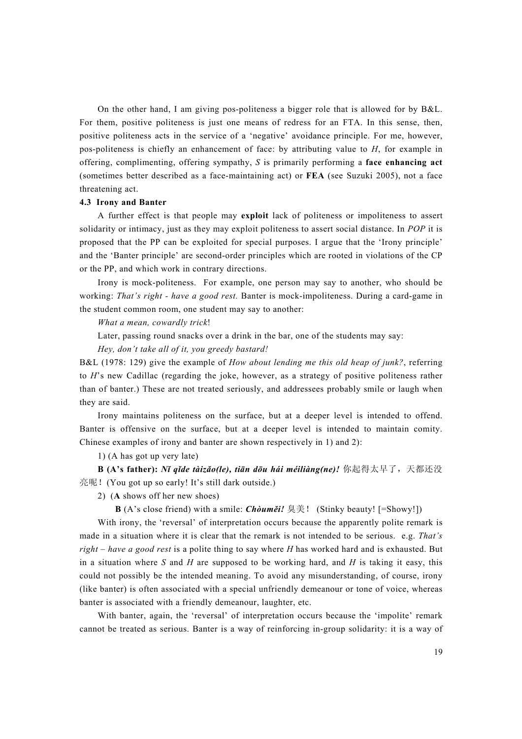On the other hand, I am giving pos-politeness a bigger role that is allowed for by B&L. For them, positive politeness is just one means of redress for an FTA. In this sense, then, positive politeness acts in the service of a 'negative' avoidance principle. For me, however, pos-politeness is chiefly an enhancement of face: by attributing value to *H*, for example in offering, complimenting, offering sympathy, *S* is primarily performing a **face enhancing act** (sometimes better described as a face-maintaining act) or **FEA** (see Suzuki 2005), not a face threatening act.

#### **4.3 Irony and Banter**

A further effect is that people may **exploit** lack of politeness or impoliteness to assert solidarity or intimacy, just as they may exploit politeness to assert social distance. In *POP* it is proposed that the PP can be exploited for special purposes. I argue that the 'Irony principle' and the 'Banter principle' are second-order principles which are rooted in violations of the CP or the PP, and which work in contrary directions.

Irony is mock-politeness. For example, one person may say to another, who should be working: *That's right - have a good rest.* Banter is mock-impoliteness. During a card-game in the student common room, one student may say to another:

*What a mean, cowardly trick*!

Later, passing round snacks over a drink in the bar, one of the students may say:

*Hey, don't take all of it, you greedy bastard!*

B&L (1978: 129) give the example of *How about lending me this old heap of junk?*, referring to *H*'s new Cadillac (regarding the joke, however, as a strategy of positive politeness rather than of banter.) These are not treated seriously, and addressees probably smile or laugh when they are said.

Irony maintains politeness on the surface, but at a deeper level is intended to offend. Banter is offensive on the surface, but at a deeper level is intended to maintain comity. Chinese examples of irony and banter are shown respectively in 1) and 2):

1) (A has got up very late)

**B (A's father):** *Nǐ qǐde tàizǎo(le), tiān dōu hái méiliàng(ne)!* 你起得太早了,天都还没 亮呢!(You got up so early! It's still dark outside.)

2) (**A** shows off her new shoes)

 **B** (A's close friend) with a smile: *Chòuměi!* 臭美! (Stinky beauty! [=Showy!])

With irony, the 'reversal' of interpretation occurs because the apparently polite remark is made in a situation where it is clear that the remark is not intended to be serious. e.g. *That's right – have a good rest* is a polite thing to say where *H* has worked hard and is exhausted. But in a situation where *S* and *H* are supposed to be working hard, and *H* is taking it easy, this could not possibly be the intended meaning. To avoid any misunderstanding, of course, irony (like banter) is often associated with a special unfriendly demeanour or tone of voice, whereas banter is associated with a friendly demeanour, laughter, etc.

With banter, again, the 'reversal' of interpretation occurs because the 'impolite' remark cannot be treated as serious. Banter is a way of reinforcing in-group solidarity: it is a way of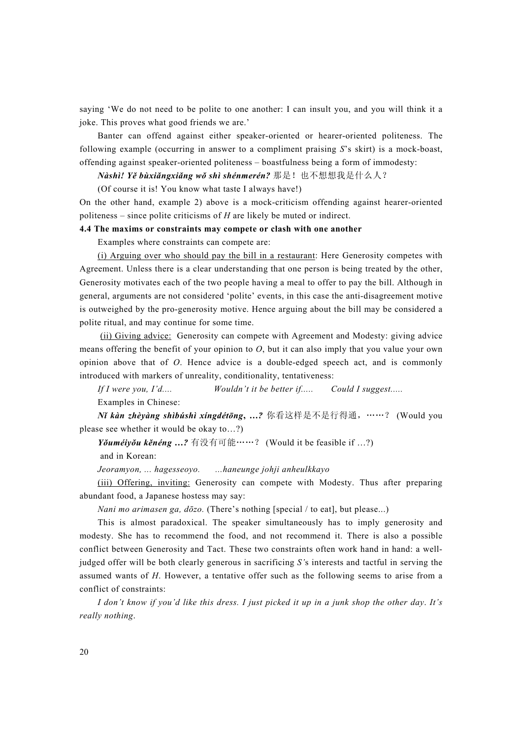saying 'We do not need to be polite to one another: I can insult you, and you will think it a joke. This proves what good friends we are.'

Banter can offend against either speaker-oriented or hearer-oriented politeness. The following example (occurring in answer to a compliment praising *S*'s skirt) is a mock-boast, offending against speaker-oriented politeness – boastfulness being a form of immodesty:

*Nàshì! Yě bùxiǎngxiǎng wǒ shì shénmerén?* 那是!也不想想我是什么人?

(Of course it is! You know what taste I always have!)

On the other hand, example 2) above is a mock-criticism offending against hearer-oriented politeness – since polite criticisms of *H* are likely be muted or indirect.

**4.4 The maxims or constraints may compete or clash with one another** 

Examples where constraints can compete are:

(i) Arguing over who should pay the bill in a restaurant: Here Generosity competes with Agreement. Unless there is a clear understanding that one person is being treated by the other, Generosity motivates each of the two people having a meal to offer to pay the bill. Although in general, arguments are not considered 'polite' events, in this case the anti-disagreement motive is outweighed by the pro-generosity motive. Hence arguing about the bill may be considered a polite ritual, and may continue for some time.

 (ii) Giving advice: Generosity can compete with Agreement and Modesty: giving advice means offering the benefit of your opinion to *O*, but it can also imply that you value your own opinion above that of *O*. Hence advice is a double-edged speech act, and is commonly introduced with markers of unreality, conditionality, tentativeness:

*If I were you, I'd.... Wouldn't it be better if..... Could I suggest.....* 

Examples in Chinese:

*Nǐ kàn zhèyàng shìbúshì xíngdétōng***, …***?* 你看这样是不是行得通,……? (Would you please see whether it would be okay to…?)

*Yǒuméiyǒu kěnéng …?* 有没有可能……? (Would it be feasible if …?) and in Korean:

*Jeoramyon, ... hagesseoyo. ...haneunge johji anheulkkayo* 

(iii) Offering, inviting: Generosity can compete with Modesty. Thus after preparing abundant food, a Japanese hostess may say:

*Nani mo arimasen ga, dōzo.* (There's nothing [special / to eat], but please...)

This is almost paradoxical. The speaker simultaneously has to imply generosity and modesty. She has to recommend the food, and not recommend it. There is also a possible conflict between Generosity and Tact. These two constraints often work hand in hand: a welljudged offer will be both clearly generous in sacrificing *S'*s interests and tactful in serving the assumed wants of *H*. However, a tentative offer such as the following seems to arise from a conflict of constraints:

*I don't know if you'd like this dress. I just picked it up in a junk shop the other day*. *It's really nothing*.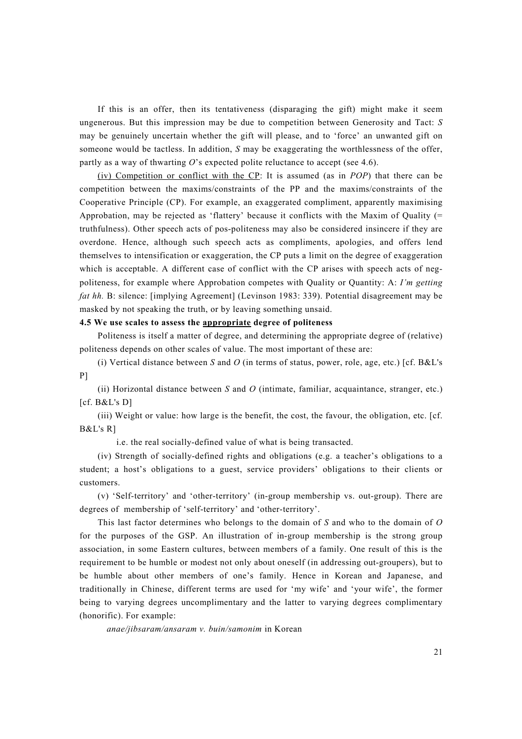If this is an offer, then its tentativeness (disparaging the gift) might make it seem ungenerous. But this impression may be due to competition between Generosity and Tact: *S*  may be genuinely uncertain whether the gift will please, and to 'force' an unwanted gift on someone would be tactless. In addition, *S* may be exaggerating the worthlessness of the offer, partly as a way of thwarting  $O$ 's expected polite reluctance to accept (see 4.6).

(iv) Competition or conflict with the CP: It is assumed (as in *POP*) that there can be competition between the maxims/constraints of the PP and the maxims/constraints of the Cooperative Principle (CP). For example, an exaggerated compliment, apparently maximising Approbation, may be rejected as 'flattery' because it conflicts with the Maxim of Quality (= truthfulness). Other speech acts of pos-politeness may also be considered insincere if they are overdone. Hence, although such speech acts as compliments, apologies, and offers lend themselves to intensification or exaggeration, the CP puts a limit on the degree of exaggeration which is acceptable. A different case of conflict with the CP arises with speech acts of negpoliteness, for example where Approbation competes with Quality or Quantity: A: *I'm getting fat hh.* B: silence: [implying Agreement] (Levinson 1983: 339). Potential disagreement may be masked by not speaking the truth, or by leaving something unsaid.

# **4.5 We use scales to assess the appropriate degree of politeness**

Politeness is itself a matter of degree, and determining the appropriate degree of (relative) politeness depends on other scales of value. The most important of these are:

(i) Vertical distance between *S* and *O* (in terms of status, power, role, age, etc.) [cf. B&L's P]

(ii) Horizontal distance between *S* and *O* (intimate, familiar, acquaintance, stranger, etc.)  $[cf. B&L's D]$ 

(iii) Weight or value: how large is the benefit, the cost, the favour, the obligation, etc. [cf. B&L's R]

i.e. the real socially-defined value of what is being transacted.

(iv) Strength of socially-defined rights and obligations (e.g. a teacher's obligations to a student; a host's obligations to a guest, service providers' obligations to their clients or customers.

(v) 'Self-territory' and 'other-territory' (in-group membership vs. out-group). There are degrees of membership of 'self-territory' and 'other-territory'.

This last factor determines who belongs to the domain of *S* and who to the domain of *O* for the purposes of the GSP. An illustration of in-group membership is the strong group association, in some Eastern cultures, between members of a family. One result of this is the requirement to be humble or modest not only about oneself (in addressing out-groupers), but to be humble about other members of one's family. Hence in Korean and Japanese, and traditionally in Chinese, different terms are used for 'my wife' and 'your wife', the former being to varying degrees uncomplimentary and the latter to varying degrees complimentary (honorific). For example:

*anae/jibsaram/ansaram v. buin/samonim* in Korean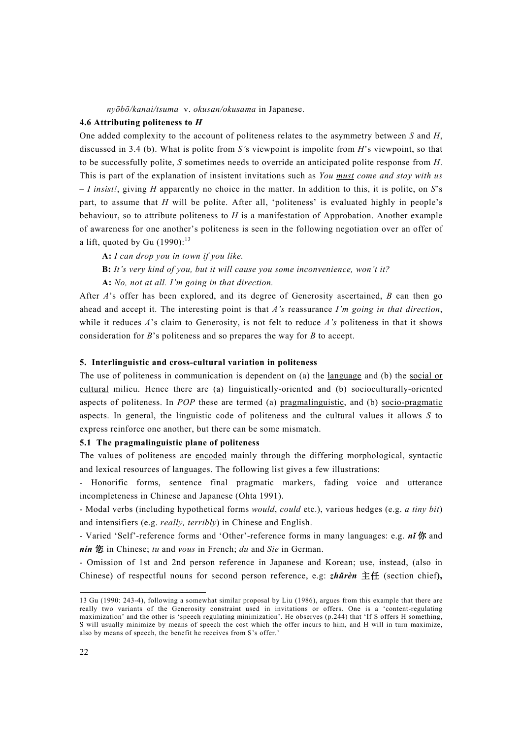#### *nyōbō/kanai/tsuma* v. *okusan/okusama* in Japanese.

# **4.6 Attributing politeness to** *H*

One added complexity to the account of politeness relates to the asymmetry between *S* and *H*, discussed in 3.4 (b). What is polite from *S'*s viewpoint is impolite from *H*'s viewpoint, so that to be successfully polite, *S* sometimes needs to override an anticipated polite response from *H*. This is part of the explanation of insistent invitations such as *You must come and stay with us – I insist!*, giving *H* apparently no choice in the matter. In addition to this, it is polite, on *S*'s part, to assume that *H* will be polite. After all, 'politeness' is evaluated highly in people's behaviour, so to attribute politeness to *H* is a manifestation of Approbation. Another example of awareness for one another's politeness is seen in the following negotiation over an offer of a lift, quoted by Gu  $(1990)$ :<sup>13</sup>

**A:** *I can drop you in town if you like.* 

**B:** *It's very kind of you, but it will cause you some inconvenience, won't it?* 

**A:** *No, not at all. I'm going in that direction.* 

After *A*'s offer has been explored, and its degree of Generosity ascertained, *B* can then go ahead and accept it. The interesting point is that *A's* reassurance *I'm going in that direction*, while it reduces *A*'s claim to Generosity, is not felt to reduce *A's* politeness in that it shows consideration for *B*'s politeness and so prepares the way for *B* to accept.

## **5. Interlinguistic and cross-cultural variation in politeness**

The use of politeness in communication is dependent on (a) the language and (b) the social or cultural milieu. Hence there are (a) linguistically-oriented and (b) socioculturally-oriented aspects of politeness. In *POP* these are termed (a) pragmalinguistic, and (b) socio-pragmatic aspects. In general, the linguistic code of politeness and the cultural values it allows *S* to express reinforce one another, but there can be some mismatch.

#### **5.1 The pragmalinguistic plane of politeness**

The values of politeness are encoded mainly through the differing morphological, syntactic and lexical resources of languages. The following list gives a few illustrations:

- Honorific forms, sentence final pragmatic markers, fading voice and utterance incompleteness in Chinese and Japanese (Ohta 1991).

- Modal verbs (including hypothetical forms *would*, *could* etc.), various hedges (e.g. *a tiny bit*) and intensifiers (e.g. *really, terribly*) in Chinese and English.

- Varied 'Self'-reference forms and 'Other'-reference forms in many languages: e.g. *nǐ* 你 and *nín* 您 in Chinese; *tu* and *vous* in French; *du* and *Sie* in German.

- Omission of 1st and 2nd person reference in Japanese and Korean; use, instead, (also in Chinese) of respectful nouns for second person reference, e.g: *zhǔrèn* 主任 (section chief**),** 

<sup>13</sup> Gu (1990: 243-4), following a somewhat similar proposal by Liu (1986), argues from this example that there are really two variants of the Generosity constraint used in invitations or offers. One is a 'content-regulating maximization' and the other is 'speech regulating minimization'. He observes (p.244) that 'If S offers H something, S will usually minimize by means of speech the cost which the offer incurs to him, and H will in turn maximize, also by means of speech, the benefit he receives from S's offer.'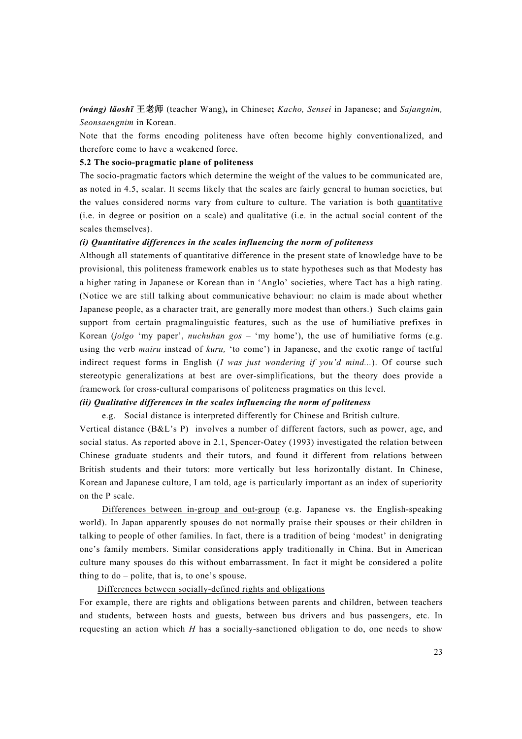*(wáng) lǎoshī* 王老师 (teacher Wang)**,** in Chinese**;** *Kacho, Sensei* in Japanese; and *Sajangnim, Seonsaengnim* in Korean.

Note that the forms encoding politeness have often become highly conventionalized, and therefore come to have a weakened force.

#### **5.2 The socio-pragmatic plane of politeness**

The socio-pragmatic factors which determine the weight of the values to be communicated are, as noted in 4.5, scalar. It seems likely that the scales are fairly general to human societies, but the values considered norms vary from culture to culture. The variation is both quantitative (i.e. in degree or position on a scale) and qualitative (i.e. in the actual social content of the scales themselves).

#### *(i) Quantitative differences in the scales influencing the norm of politeness*

Although all statements of quantitative difference in the present state of knowledge have to be provisional, this politeness framework enables us to state hypotheses such as that Modesty has a higher rating in Japanese or Korean than in 'Anglo' societies, where Tact has a high rating. (Notice we are still talking about communicative behaviour: no claim is made about whether Japanese people, as a character trait, are generally more modest than others.) Such claims gain support from certain pragmalinguistic features, such as the use of humiliative prefixes in Korean (*jolgo* 'my paper', *nuchuhan gos* – 'my home'), the use of humiliative forms (e.g. using the verb *mairu* instead of *kuru,* 'to come') in Japanese, and the exotic range of tactful indirect request forms in English (*I was just wondering if you'd mind...*). Of course such stereotypic generalizations at best are over-simplifications, but the theory does provide a framework for cross-cultural comparisons of politeness pragmatics on this level.

# *(ii) Qualitative differences in the scales influencing the norm of politeness*

e.g. Social distance is interpreted differently for Chinese and British culture.

Vertical distance (B&L's P) involves a number of different factors, such as power, age, and social status. As reported above in 2.1, Spencer-Oatey (1993) investigated the relation between Chinese graduate students and their tutors, and found it different from relations between British students and their tutors: more vertically but less horizontally distant. In Chinese, Korean and Japanese culture, I am told, age is particularly important as an index of superiority on the P scale.

 Differences between in-group and out-group (e.g. Japanese vs. the English-speaking world). In Japan apparently spouses do not normally praise their spouses or their children in talking to people of other families. In fact, there is a tradition of being 'modest' in denigrating one's family members. Similar considerations apply traditionally in China. But in American culture many spouses do this without embarrassment. In fact it might be considered a polite thing to do – polite, that is, to one's spouse.

# Differences between socially-defined rights and obligations

For example, there are rights and obligations between parents and children, between teachers and students, between hosts and guests, between bus drivers and bus passengers, etc. In requesting an action which *H* has a socially-sanctioned obligation to do, one needs to show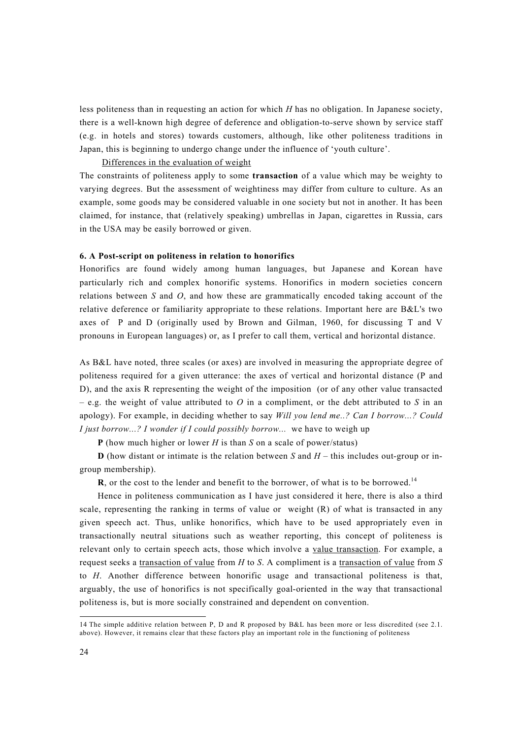less politeness than in requesting an action for which *H* has no obligation. In Japanese society, there is a well-known high degree of deference and obligation-to-serve shown by service staff (e.g. in hotels and stores) towards customers, although, like other politeness traditions in Japan, this is beginning to undergo change under the influence of 'youth culture'.

Differences in the evaluation of weight

The constraints of politeness apply to some **transaction** of a value which may be weighty to varying degrees. But the assessment of weightiness may differ from culture to culture. As an example, some goods may be considered valuable in one society but not in another. It has been claimed, for instance, that (relatively speaking) umbrellas in Japan, cigarettes in Russia, cars in the USA may be easily borrowed or given.

#### **6. A Post-script on politeness in relation to honorifics**

Honorifics are found widely among human languages, but Japanese and Korean have particularly rich and complex honorific systems. Honorifics in modern societies concern relations between *S* and *O*, and how these are grammatically encoded taking account of the relative deference or familiarity appropriate to these relations. Important here are B&L's two axes of P and D (originally used by Brown and Gilman, 1960, for discussing T and V pronouns in European languages) or, as I prefer to call them, vertical and horizontal distance.

As B&L have noted, three scales (or axes) are involved in measuring the appropriate degree of politeness required for a given utterance: the axes of vertical and horizontal distance (P and D), and the axis R representing the weight of the imposition (or of any other value transacted – e.g. the weight of value attributed to *O* in a compliment, or the debt attributed to *S* in an apology). For example, in deciding whether to say *Will you lend me..? Can I borrow...? Could I just borrow...? I wonder if I could possibly borrow...* we have to weigh up

**P** (how much higher or lower *H* is than *S* on a scale of power/status)

**D** (how distant or intimate is the relation between *S* and *H –* this includes out-group or ingroup membership).

**R**, or the cost to the lender and benefit to the borrower, of what is to be borrowed.<sup>14</sup>

Hence in politeness communication as I have just considered it here, there is also a third scale, representing the ranking in terms of value or weight (R) of what is transacted in any given speech act. Thus, unlike honorifics, which have to be used appropriately even in transactionally neutral situations such as weather reporting, this concept of politeness is relevant only to certain speech acts, those which involve a value transaction. For example, a request seeks a transaction of value from *H* to *S*. A compliment is a transaction of value from *S* to *H*. Another difference between honorific usage and transactional politeness is that, arguably, the use of honorifics is not specifically goal-oriented in the way that transactional politeness is, but is more socially constrained and dependent on convention.

<sup>14</sup> The simple additive relation between P, D and R proposed by B&L has been more or less discredited (see 2.1. above). However, it remains clear that these factors play an important role in the functioning of politeness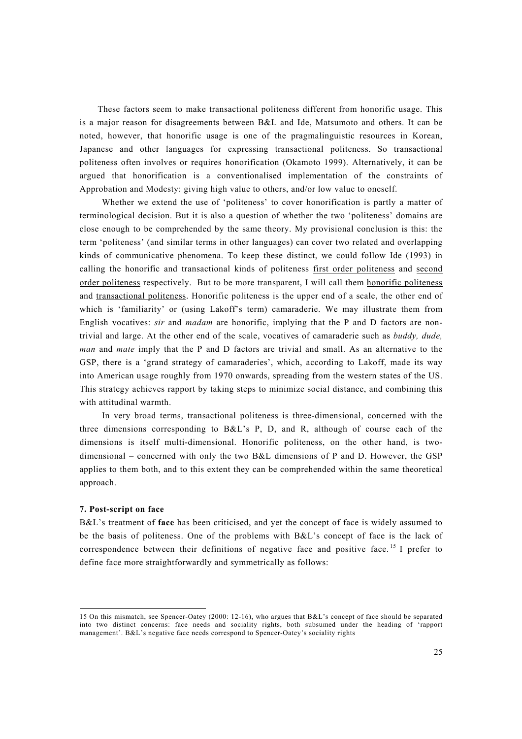These factors seem to make transactional politeness different from honorific usage. This is a major reason for disagreements between B&L and Ide, Matsumoto and others. It can be noted, however, that honorific usage is one of the pragmalinguistic resources in Korean, Japanese and other languages for expressing transactional politeness. So transactional politeness often involves or requires honorification (Okamoto 1999). Alternatively, it can be argued that honorification is a conventionalised implementation of the constraints of Approbation and Modesty: giving high value to others, and/or low value to oneself.

Whether we extend the use of 'politeness' to cover honorification is partly a matter of terminological decision. But it is also a question of whether the two 'politeness' domains are close enough to be comprehended by the same theory. My provisional conclusion is this: the term 'politeness' (and similar terms in other languages) can cover two related and overlapping kinds of communicative phenomena. To keep these distinct, we could follow Ide (1993) in calling the honorific and transactional kinds of politeness first order politeness and second order politeness respectively. But to be more transparent, I will call them honorific politeness and transactional politeness. Honorific politeness is the upper end of a scale, the other end of which is 'familiarity' or (using Lakoff's term) camaraderie. We may illustrate them from English vocatives: *sir* and *madam* are honorific, implying that the P and D factors are nontrivial and large. At the other end of the scale, vocatives of camaraderie such as *buddy, dude, man* and *mate* imply that the P and D factors are trivial and small. As an alternative to the GSP, there is a 'grand strategy of camaraderies', which, according to Lakoff, made its way into American usage roughly from 1970 onwards, spreading from the western states of the US. This strategy achieves rapport by taking steps to minimize social distance, and combining this with attitudinal warmth.

In very broad terms, transactional politeness is three-dimensional, concerned with the three dimensions corresponding to B&L's P, D, and R, although of course each of the dimensions is itself multi-dimensional. Honorific politeness, on the other hand, is twodimensional – concerned with only the two B&L dimensions of P and D. However, the GSP applies to them both, and to this extent they can be comprehended within the same theoretical approach.

#### **7. Post-script on face**

-

B&L's treatment of **face** has been criticised, and yet the concept of face is widely assumed to be the basis of politeness. One of the problems with B&L's concept of face is the lack of correspondence between their definitions of negative face and positive face. 15 I prefer to define face more straightforwardly and symmetrically as follows:

<sup>15</sup> On this mismatch, see Spencer-Oatey (2000: 12-16), who argues that B&L's concept of face should be separated into two distinct concerns: face needs and sociality rights, both subsumed under the heading of 'rapport management'. B&L's negative face needs correspond to Spencer-Oatey's sociality rights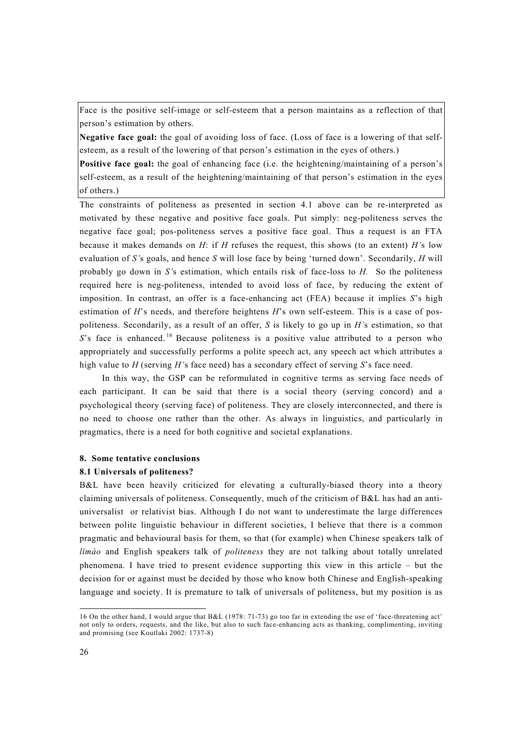Face is the positive self-image or self-esteem that a person maintains as a reflection of that person's estimation by others.

**Negative face goal:** the goal of avoiding loss of face. (Loss of face is a lowering of that selfesteem, as a result of the lowering of that person's estimation in the eyes of others.)

**Positive face goal:** the goal of enhancing face (i.e. the heightening/maintaining of a person's self-esteem, as a result of the heightening/maintaining of that person's estimation in the eyes of others.)

The constraints of politeness as presented in section 4.1 above can be re-interpreted as motivated by these negative and positive face goals. Put simply: neg-politeness serves the negative face goal; pos-politeness serves a positive face goal. Thus a request is an FTA because it makes demands on *H*: if *H* refuses the request, this shows (to an extent) *H'*s low evaluation of *S'*s goals, and hence *S* will lose face by being 'turned down'. Secondarily, *H* will probably go down in *S'*s estimation, which entails risk of face-loss to *H.* So the politeness required here is neg-politeness, intended to avoid loss of face, by reducing the extent of imposition. In contrast, an offer is a face-enhancing act (FEA) because it implies *S*'s high estimation of *H*'s needs, and therefore heightens *H*'s own self-esteem. This is a case of pospoliteness. Secondarily, as a result of an offer, *S* is likely to go up in *H'*s estimation, so that *S*'s face is enhanced.<sup>16</sup> Because politeness is a positive value attributed to a person who appropriately and successfully performs a polite speech act, any speech act which attributes a high value to *H* (serving *H'*s face need) has a secondary effect of serving *S*'s face need.

 In this way, the GSP can be reformulated in cognitive terms as serving face needs of each participant. It can be said that there is a social theory (serving concord) and a psychological theory (serving face) of politeness. They are closely interconnected, and there is no need to choose one rather than the other. As always in linguistics, and particularly in pragmatics, there is a need for both cognitive and societal explanations.

#### **8. Some tentative conclusions**

#### **8.1 Universals of politeness?**

B&L have been heavily criticized for elevating a culturally-biased theory into a theory claiming universals of politeness. Consequently, much of the criticism of B&L has had an antiuniversalist or relativist bias. Although I do not want to underestimate the large differences between polite linguistic behaviour in different societies, I believe that there is a common pragmatic and behavioural basis for them, so that (for example) when Chinese speakers talk of *lǐmào* and English speakers talk of *politeness* they are not talking about totally unrelated phenomena. I have tried to present evidence supporting this view in this article – but the decision for or against must be decided by those who know both Chinese and English-speaking language and society. It is premature to talk of universals of politeness, but my position is as

<sup>16</sup> On the other hand, I would argue that B&L (1978: 71-73) go too far in extending the use of 'face-threatening act' not only to orders, requests, and the like, but also to such face-enhancing acts as thanking, complimenting, inviting and promising (see Koutlaki 2002: 1737-8)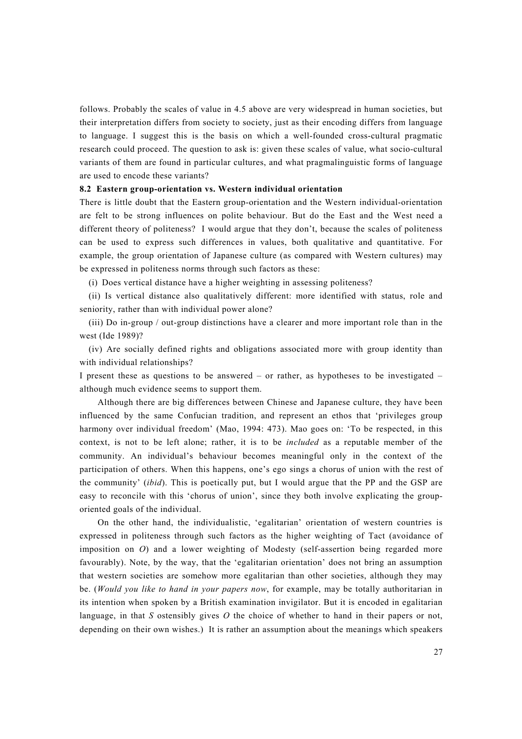follows. Probably the scales of value in 4.5 above are very widespread in human societies, but their interpretation differs from society to society, just as their encoding differs from language to language. I suggest this is the basis on which a well-founded cross-cultural pragmatic research could proceed. The question to ask is: given these scales of value, what socio-cultural variants of them are found in particular cultures, and what pragmalinguistic forms of language are used to encode these variants?

# **8.2 Eastern group-orientation vs. Western individual orientation**

There is little doubt that the Eastern group-orientation and the Western individual-orientation are felt to be strong influences on polite behaviour. But do the East and the West need a different theory of politeness? I would argue that they don't, because the scales of politeness can be used to express such differences in values, both qualitative and quantitative. For example, the group orientation of Japanese culture (as compared with Western cultures) may be expressed in politeness norms through such factors as these:

(i) Does vertical distance have a higher weighting in assessing politeness?

(ii) Is vertical distance also qualitatively different: more identified with status, role and seniority, rather than with individual power alone?

(iii) Do in-group / out-group distinctions have a clearer and more important role than in the west (Ide 1989)?

(iv) Are socially defined rights and obligations associated more with group identity than with individual relationships?

I present these as questions to be answered – or rather, as hypotheses to be investigated – although much evidence seems to support them.

Although there are big differences between Chinese and Japanese culture, they have been influenced by the same Confucian tradition, and represent an ethos that 'privileges group harmony over individual freedom' (Mao, 1994: 473). Mao goes on: 'To be respected, in this context, is not to be left alone; rather, it is to be *included* as a reputable member of the community. An individual's behaviour becomes meaningful only in the context of the participation of others. When this happens, one's ego sings a chorus of union with the rest of the community' (*ibid*). This is poetically put, but I would argue that the PP and the GSP are easy to reconcile with this 'chorus of union', since they both involve explicating the grouporiented goals of the individual.

On the other hand, the individualistic, 'egalitarian' orientation of western countries is expressed in politeness through such factors as the higher weighting of Tact (avoidance of imposition on *O*) and a lower weighting of Modesty (self-assertion being regarded more favourably). Note, by the way, that the 'egalitarian orientation' does not bring an assumption that western societies are somehow more egalitarian than other societies, although they may be. (*Would you like to hand in your papers now*, for example, may be totally authoritarian in its intention when spoken by a British examination invigilator. But it is encoded in egalitarian language, in that *S* ostensibly gives *O* the choice of whether to hand in their papers or not, depending on their own wishes.) It is rather an assumption about the meanings which speakers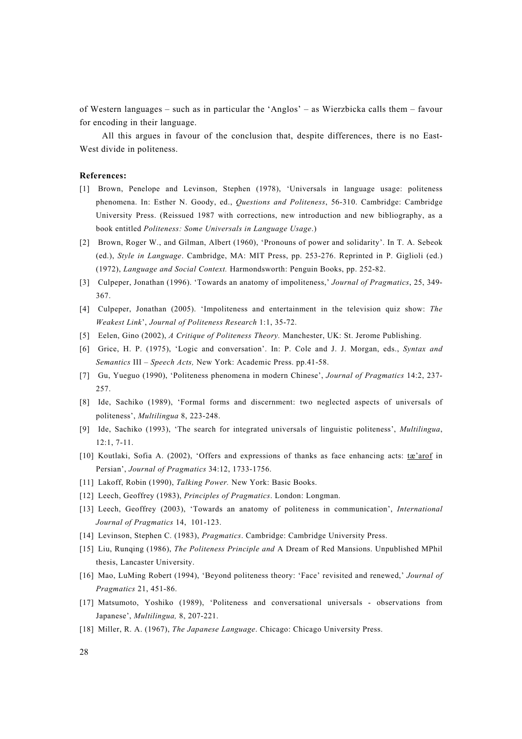of Western languages – such as in particular the 'Anglos' – as Wierzbicka calls them – favour for encoding in their language.

All this argues in favour of the conclusion that, despite differences, there is no East-West divide in politeness.

#### **References:**

- [1] Brown, Penelope and Levinson, Stephen (1978), 'Universals in language usage: politeness phenomena. In: Esther N. Goody, ed., *Questions and Politeness*, 56-310. Cambridge: Cambridge University Press. (Reissued 1987 with corrections, new introduction and new bibliography, as a book entitled *Politeness: Some Universals in Language Usage*.)
- [2] Brown, Roger W., and Gilman, Albert (1960), 'Pronouns of power and solidarity'. In T. A. Sebeok (ed.), *Style in Language*. Cambridge, MA: MIT Press, pp. 253-276. Reprinted in P. Giglioli (ed.) (1972), *Language and Social Context.* Harmondsworth: Penguin Books, pp. 252-82.
- [3] Culpeper, Jonathan (1996). 'Towards an anatomy of impoliteness,' *Journal of Pragmatics*, 25, 349- 367.
- [4] Culpeper, Jonathan (2005). 'Impoliteness and entertainment in the television quiz show: *The Weakest Link*', *Journal of Politeness Research* 1:1, 35-72.
- [5] Eelen, Gino (2002), *A Critique of Politeness Theory.* Manchester, UK: St. Jerome Publishing.
- [6] Grice, H. P. (1975), 'Logic and conversation'. In: P. Cole and J. J. Morgan, eds., *Syntax and Semantics* III *– Speech Acts,* New York: Academic Press. pp.41-58.
- [7] Gu, Yueguo (1990), 'Politeness phenomena in modern Chinese', *Journal of Pragmatics* 14:2, 237- 257.
- [8] Ide, Sachiko (1989), 'Formal forms and discernment: two neglected aspects of universals of politeness', *Multilingua* 8, 223-248.
- [9] Ide, Sachiko (1993), 'The search for integrated universals of linguistic politeness', *Multilingua*, 12:1, 7-11.
- [10] Koutlaki, Sofia A. (2002), 'Offers and expressions of thanks as face enhancing acts: tæ'arof in Persian', *Journal of Pragmatics* 34:12, 1733-1756.
- [11] Lakoff, Robin (1990), *Talking Power.* New York: Basic Books.
- [12] Leech, Geoffrey (1983), *Principles of Pragmatics*. London: Longman.
- [13] Leech, Geoffrey (2003), 'Towards an anatomy of politeness in communication', *International Journal of Pragmatics* 14, 101-123.
- [14] Levinson, Stephen C. (1983), *Pragmatics*. Cambridge: Cambridge University Press.
- [15] Liu, Runqing (1986), *The Politeness Principle and* A Dream of Red Mansions. Unpublished MPhil thesis, Lancaster University.
- [16] Mao, LuMing Robert (1994), 'Beyond politeness theory: 'Face' revisited and renewed,' *Journal of Pragmatics* 21, 451-86.
- [17] Matsumoto, Yoshiko (1989), 'Politeness and conversational universals observations from Japanese', *Multilingua,* 8, 207-221.
- [18] Miller, R. A. (1967), *The Japanese Language*. Chicago: Chicago University Press.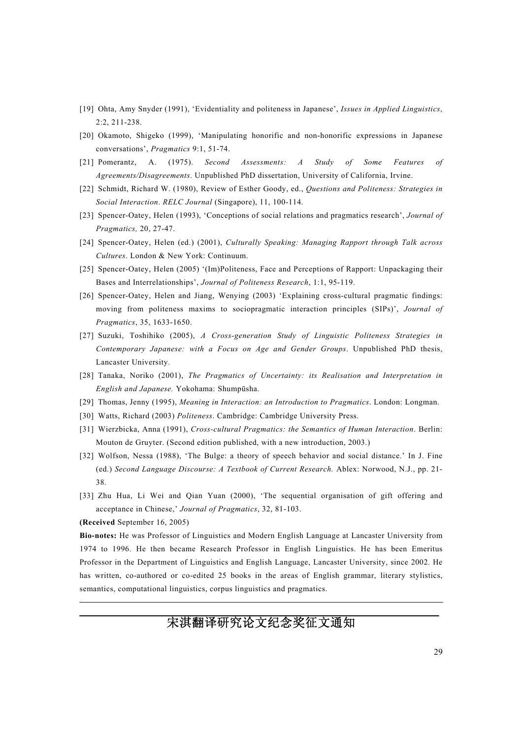- [19] Ohta, Amy Snyder (1991), 'Evidentiality and politeness in Japanese', *Issues in Applied Linguistics*, 2:2, 211-238.
- [20] Okamoto, Shigeko (1999), 'Manipulating honorific and non-honorific expressions in Japanese conversations', *Pragmatics* 9:1, 51-74.
- [21] Pomerantz, A. (1975). *Second Assessments: A Study of Some Features of Agreements/Disagreements*. Unpublished PhD dissertation, University of California, Irvine.
- [22] Schmidt, Richard W. (1980), Review of Esther Goody, ed., *Questions and Politeness: Strategies in Social Interaction*. *RELC Journal* (Singapore), 11, 100-114.
- [23] Spencer-Oatey, Helen (1993), 'Conceptions of social relations and pragmatics research', *Journal of Pragmatics,* 20, 27-47.
- [24] Spencer-Oatey, Helen (ed.) (2001), *Culturally Speaking: Managing Rapport through Talk across Cultures*. London & New York: Continuum.
- [25] Spencer-Oatey, Helen (2005) '(Im)Politeness, Face and Perceptions of Rapport: Unpackaging their Bases and Interrelationships', *Journal of Politeness Research*, 1:1, 95-119.
- [26] Spencer-Oatey, Helen and Jiang, Wenying (2003) 'Explaining cross-cultural pragmatic findings: moving from politeness maxims to sociopragmatic interaction principles (SIPs)', *Journal of Pragmatics*, 35, 1633-1650.
- [27] Suzuki, Toshihiko (2005), *A Cross-generation Study of Linguistic Politeness Strategies in Contemporary Japanese: with a Focus on Age and Gender Groups*. Unpublished PhD thesis, Lancaster University.
- [28] Tanaka, Noriko (2001), *The Pragmatics of Uncertainty: its Realisation and Interpretation in English and Japanese.* Yokohama: Shumpūsha.
- [29] Thomas, Jenny (1995), *Meaning in Interaction: an Introduction to Pragmatics*. London: Longman.
- [30] Watts, Richard (2003) *Politeness*. Cambridge: Cambridge University Press.
- [31] Wierzbicka, Anna (1991), *Cross-cultural Pragmatics: the Semantics of Human Interaction*. Berlin: Mouton de Gruyter. (Second edition published, with a new introduction, 2003.)
- [32] Wolfson, Nessa (1988), 'The Bulge: a theory of speech behavior and social distance.' In J. Fine (ed.) *Second Language Discourse: A Textbook of Current Research.* Ablex: Norwood, N.J., pp. 21- 38.
- [33] Zhu Hua, Li Wei and Qian Yuan (2000), 'The sequential organisation of gift offering and acceptance in Chinese,' *Journal of Pragmatics*, 32, 81-103.

**(Received** September 16, 2005)

**Bio-notes:** He was Professor of Linguistics and Modern English Language at Lancaster University from 1974 to 1996. He then became Research Professor in English Linguistics. He has been Emeritus Professor in the Department of Linguistics and English Language, Lancaster University, since 2002. He has written, co-authored or co-edited 25 books in the areas of English grammar, literary stylistics, semantics, computational linguistics, corpus linguistics and pragmatics.

# 宋淇翻译研究论文纪念奖征文通知